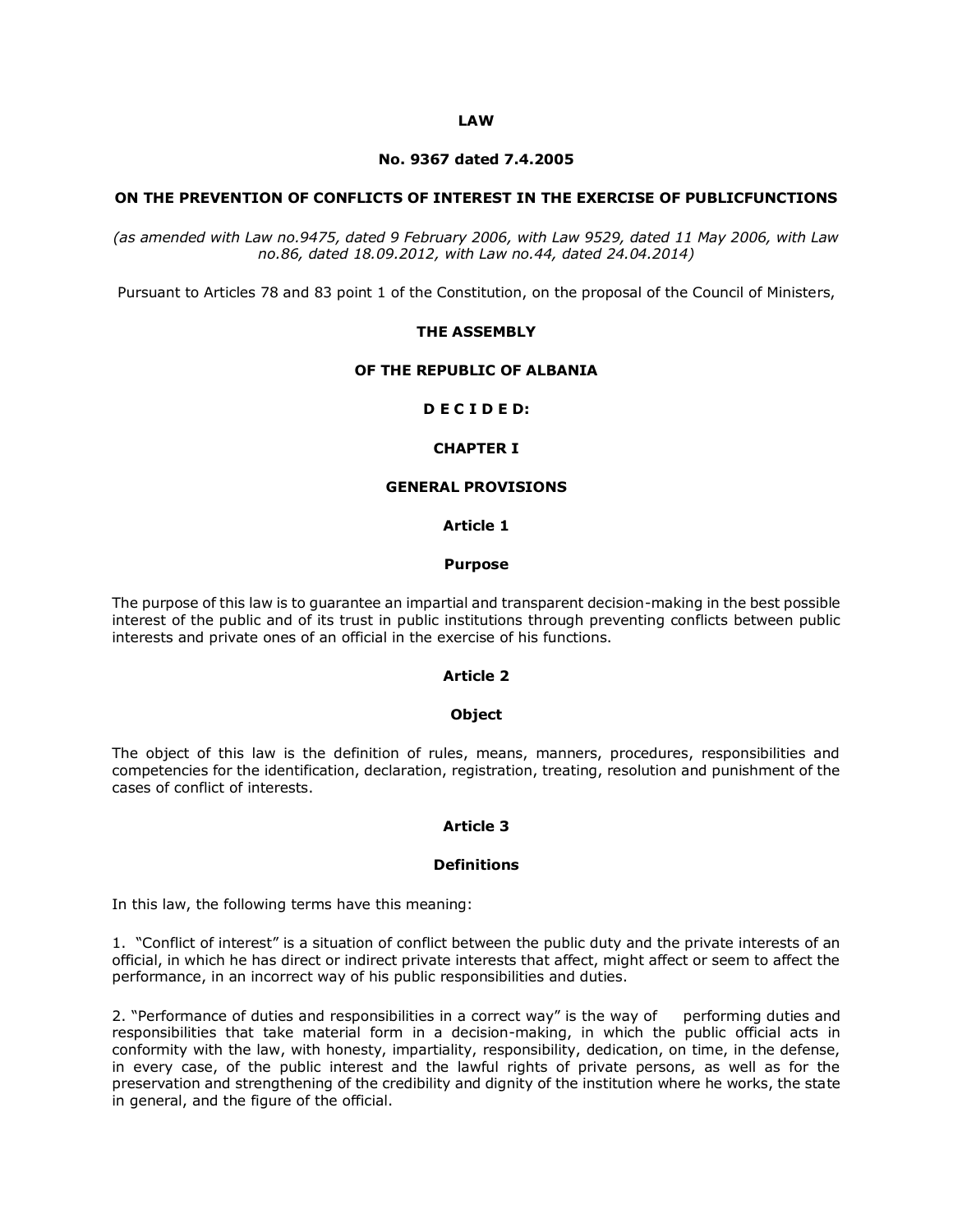#### **LAW**

#### **No. 9367 dated 7.4.2005**

#### **ON THE PREVENTION OF CONFLICTS OF INTEREST IN THE EXERCISE OF PUBLICFUNCTIONS**

*(as amended with Law no.9475, dated 9 February 2006, with Law 9529, dated 11 May 2006, with Law no.86, dated 18.09.2012, with Law no.44, dated 24.04.2014)*

Pursuant to Articles 78 and 83 point 1 of the Constitution, on the proposal of the Council of Ministers,

#### **THE ASSEMBLY**

#### **OF THE REPUBLIC OF ALBANIA**

### **D E C I D E D:**

### **CHAPTER I**

# **GENERAL PROVISIONS**

#### **Article 1**

#### **Purpose**

The purpose of this law is to guarantee an impartial and transparent decision-making in the best possible interest of the public and of its trust in public institutions through preventing conflicts between public interests and private ones of an official in the exercise of his functions.

### **Article 2**

#### **Object**

The object of this law is the definition of rules, means, manners, procedures, responsibilities and competencies for the identification, declaration, registration, treating, resolution and punishment of the cases of conflict of interests.

### **Article 3**

#### **Definitions**

In this law, the following terms have this meaning:

1. "Conflict of interest" is a situation of conflict between the public duty and the private interests of an official, in which he has direct or indirect private interests that affect, might affect or seem to affect the performance, in an incorrect way of his public responsibilities and duties.

2. "Performance of duties and responsibilities in a correct way" is the way of performing duties and responsibilities that take material form in a decision-making, in which the public official acts in conformity with the law, with honesty, impartiality, responsibility, dedication, on time, in the defense, in every case, of the public interest and the lawful rights of private persons, as well as for the preservation and strengthening of the credibility and dignity of the institution where he works, the state in general, and the figure of the official.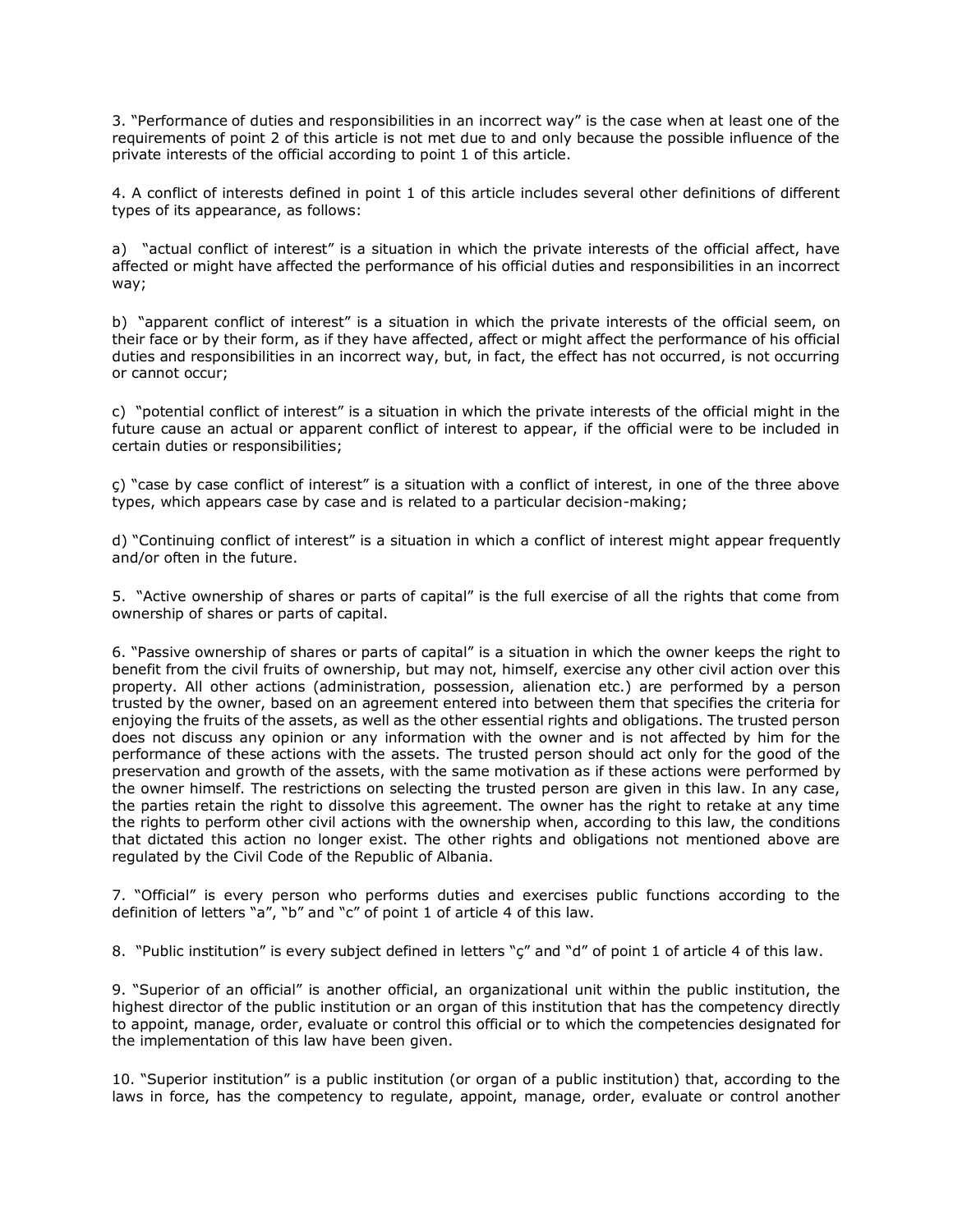3. "Performance of duties and responsibilities in an incorrect way" is the case when at least one of the requirements of point 2 of this article is not met due to and only because the possible influence of the private interests of the official according to point 1 of this article.

4. A conflict of interests defined in point 1 of this article includes several other definitions of different types of its appearance, as follows:

a) "actual conflict of interest" is a situation in which the private interests of the official affect, have affected or might have affected the performance of his official duties and responsibilities in an incorrect way;

b) "apparent conflict of interest" is a situation in which the private interests of the official seem, on their face or by their form, as if they have affected, affect or might affect the performance of his official duties and responsibilities in an incorrect way, but, in fact, the effect has not occurred, is not occurring or cannot occur;

c) "potential conflict of interest" is a situation in which the private interests of the official might in the future cause an actual or apparent conflict of interest to appear, if the official were to be included in certain duties or responsibilities;

ç) "case by case conflict of interest" is a situation with a conflict of interest, in one of the three above types, which appears case by case and is related to a particular decision-making;

d) "Continuing conflict of interest" is a situation in which a conflict of interest might appear frequently and/or often in the future.

5. "Active ownership of shares or parts of capital" is the full exercise of all the rights that come from ownership of shares or parts of capital.

6. "Passive ownership of shares or parts of capital" is a situation in which the owner keeps the right to benefit from the civil fruits of ownership, but may not, himself, exercise any other civil action over this property. All other actions (administration, possession, alienation etc.) are performed by a person trusted by the owner, based on an agreement entered into between them that specifies the criteria for enjoying the fruits of the assets, as well as the other essential rights and obligations. The trusted person does not discuss any opinion or any information with the owner and is not affected by him for the performance of these actions with the assets. The trusted person should act only for the good of the preservation and growth of the assets, with the same motivation as if these actions were performed by the owner himself. The restrictions on selecting the trusted person are given in this law. In any case, the parties retain the right to dissolve this agreement. The owner has the right to retake at any time the rights to perform other civil actions with the ownership when, according to this law, the conditions that dictated this action no longer exist. The other rights and obligations not mentioned above are regulated by the Civil Code of the Republic of Albania.

7. "Official" is every person who performs duties and exercises public functions according to the definition of letters "a", "b" and "c" of point 1 of article 4 of this law.

8. "Public institution" is every subject defined in letters "ç" and "d" of point 1 of article 4 of this law.

9. "Superior of an official" is another official, an organizational unit within the public institution, the highest director of the public institution or an organ of this institution that has the competency directly to appoint, manage, order, evaluate or control this official or to which the competencies designated for the implementation of this law have been given.

10. "Superior institution" is a public institution (or organ of a public institution) that, according to the laws in force, has the competency to regulate, appoint, manage, order, evaluate or control another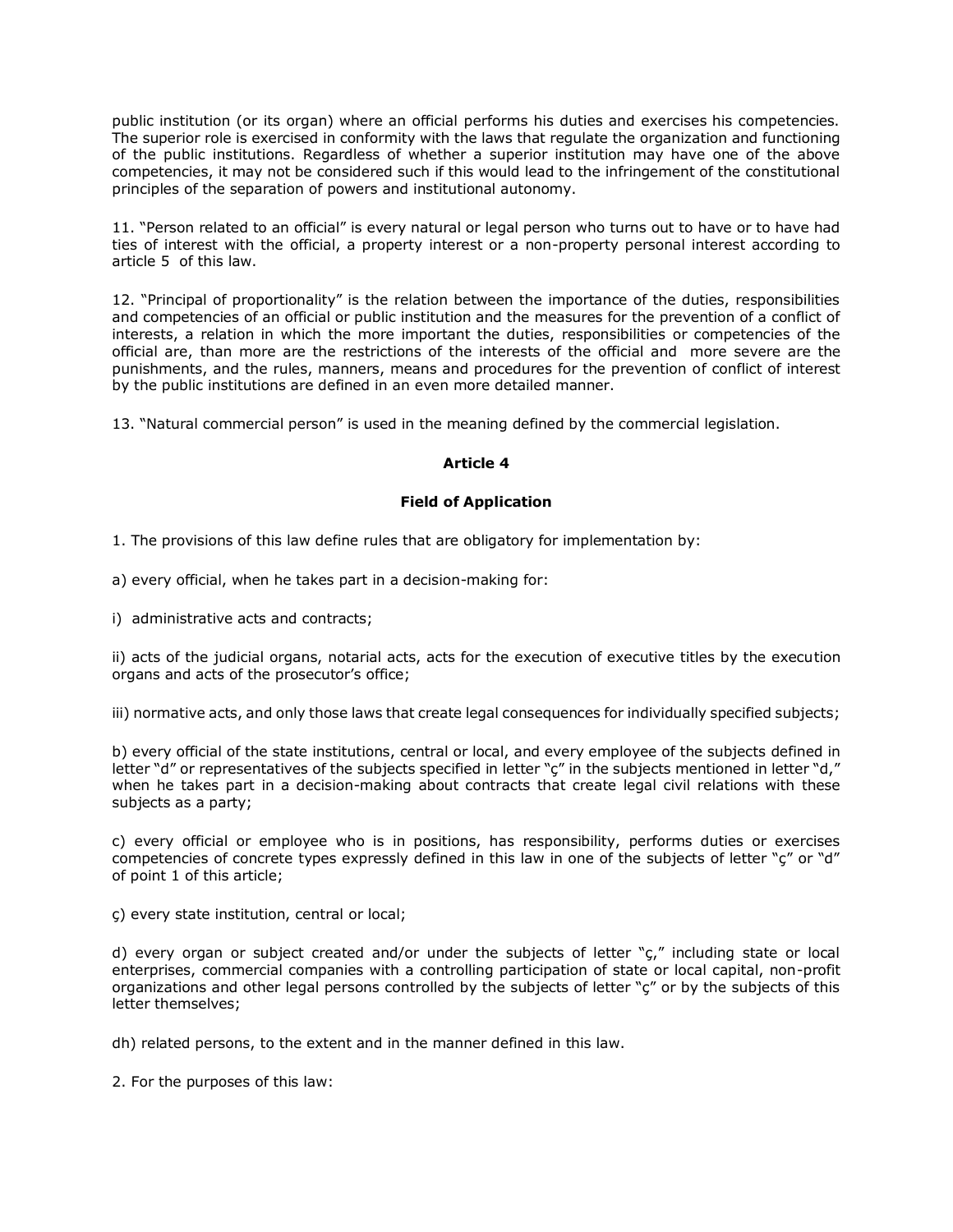public institution (or its organ) where an official performs his duties and exercises his competencies. The superior role is exercised in conformity with the laws that regulate the organization and functioning of the public institutions. Regardless of whether a superior institution may have one of the above competencies, it may not be considered such if this would lead to the infringement of the constitutional principles of the separation of powers and institutional autonomy.

11. "Person related to an official" is every natural or legal person who turns out to have or to have had ties of interest with the official, a property interest or a non-property personal interest according to article 5 of this law.

12. "Principal of proportionality" is the relation between the importance of the duties, responsibilities and competencies of an official or public institution and the measures for the prevention of a conflict of interests, a relation in which the more important the duties, responsibilities or competencies of the official are, than more are the restrictions of the interests of the official and more severe are the punishments, and the rules, manners, means and procedures for the prevention of conflict of interest by the public institutions are defined in an even more detailed manner.

13. "Natural commercial person" is used in the meaning defined by the commercial legislation.

# **Article 4**

# **Field of Application**

1. The provisions of this law define rules that are obligatory for implementation by:

a) every official, when he takes part in a decision-making for:

i) administrative acts and contracts;

ii) acts of the judicial organs, notarial acts, acts for the execution of executive titles by the execution organs and acts of the prosecutor's office;

iii) normative acts, and only those laws that create legal consequences for individually specified subjects;

b) every official of the state institutions, central or local, and every employee of the subjects defined in letter "d" or representatives of the subjects specified in letter "ç" in the subjects mentioned in letter "d," when he takes part in a decision-making about contracts that create legal civil relations with these subjects as a party;

c) every official or employee who is in positions, has responsibility, performs duties or exercises competencies of concrete types expressly defined in this law in one of the subjects of letter "c" or "d" of point 1 of this article;

ç) every state institution, central or local;

d) every organ or subject created and/or under the subjects of letter "ç," including state or local enterprises, commercial companies with a controlling participation of state or local capital, non-profit organizations and other legal persons controlled by the subjects of letter "ç" or by the subjects of this letter themselves;

dh) related persons, to the extent and in the manner defined in this law.

2. For the purposes of this law: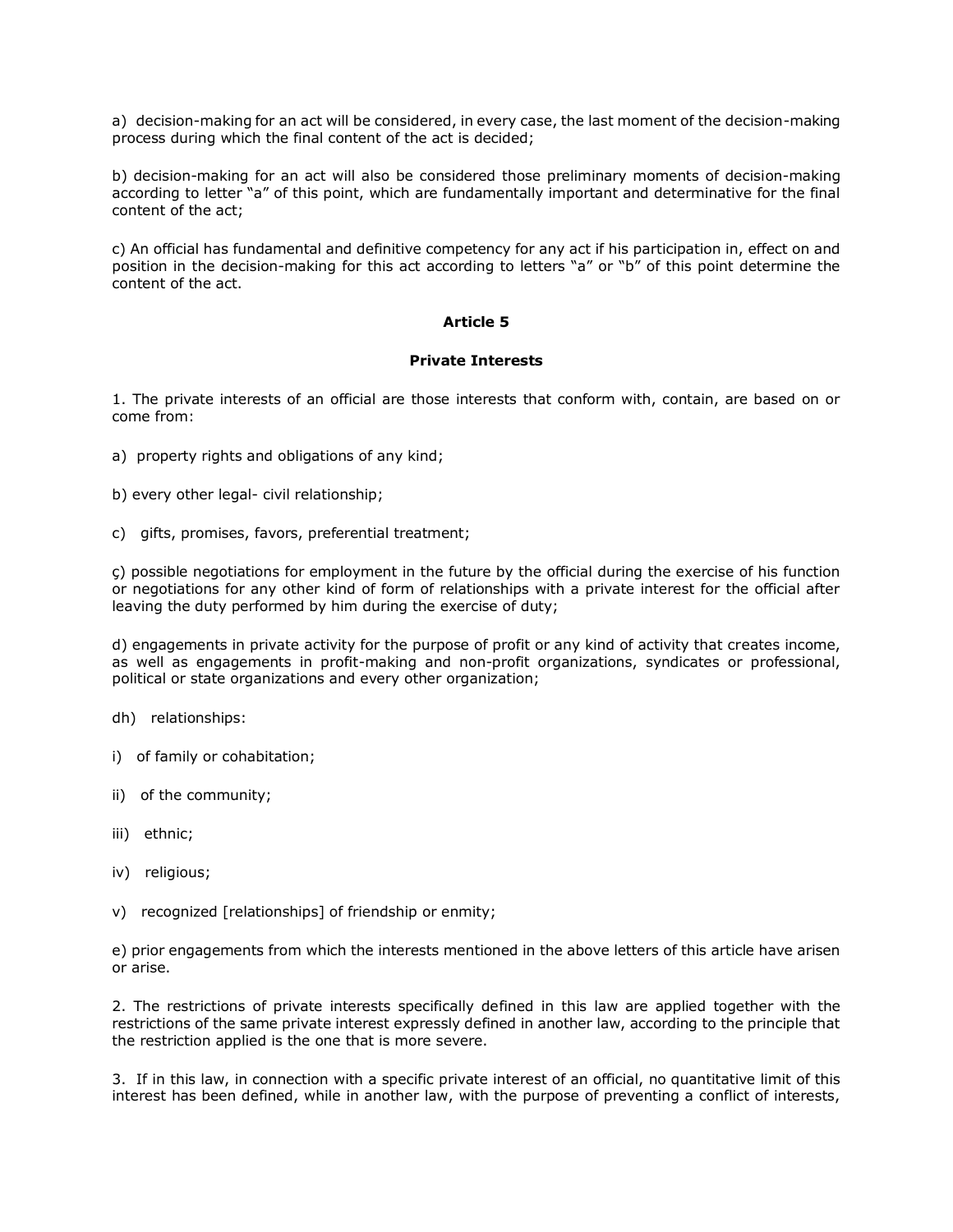a) decision-making for an act will be considered, in every case, the last moment of the decision-making process during which the final content of the act is decided;

b) decision-making for an act will also be considered those preliminary moments of decision-making according to letter "a" of this point, which are fundamentally important and determinative for the final content of the act;

c) An official has fundamental and definitive competency for any act if his participation in, effect on and position in the decision-making for this act according to letters "a" or "b" of this point determine the content of the act.

# **Article 5**

#### **Private Interests**

1. The private interests of an official are those interests that conform with, contain, are based on or come from:

- a) property rights and obligations of any kind;
- b) every other legal- civil relationship;
- c) gifts, promises, favors, preferential treatment;

ç) possible negotiations for employment in the future by the official during the exercise of his function or negotiations for any other kind of form of relationships with a private interest for the official after leaving the duty performed by him during the exercise of duty;

d) engagements in private activity for the purpose of profit or any kind of activity that creates income, as well as engagements in profit-making and non-profit organizations, syndicates or professional, political or state organizations and every other organization;

dh) relationships:

- i) of family or cohabitation;
- ii) of the community;
- iii) ethnic;
- iv) religious;
- v) recognized [relationships] of friendship or enmity;

e) prior engagements from which the interests mentioned in the above letters of this article have arisen or arise.

2. The restrictions of private interests specifically defined in this law are applied together with the restrictions of the same private interest expressly defined in another law, according to the principle that the restriction applied is the one that is more severe.

3. If in this law, in connection with a specific private interest of an official, no quantitative limit of this interest has been defined, while in another law, with the purpose of preventing a conflict of interests,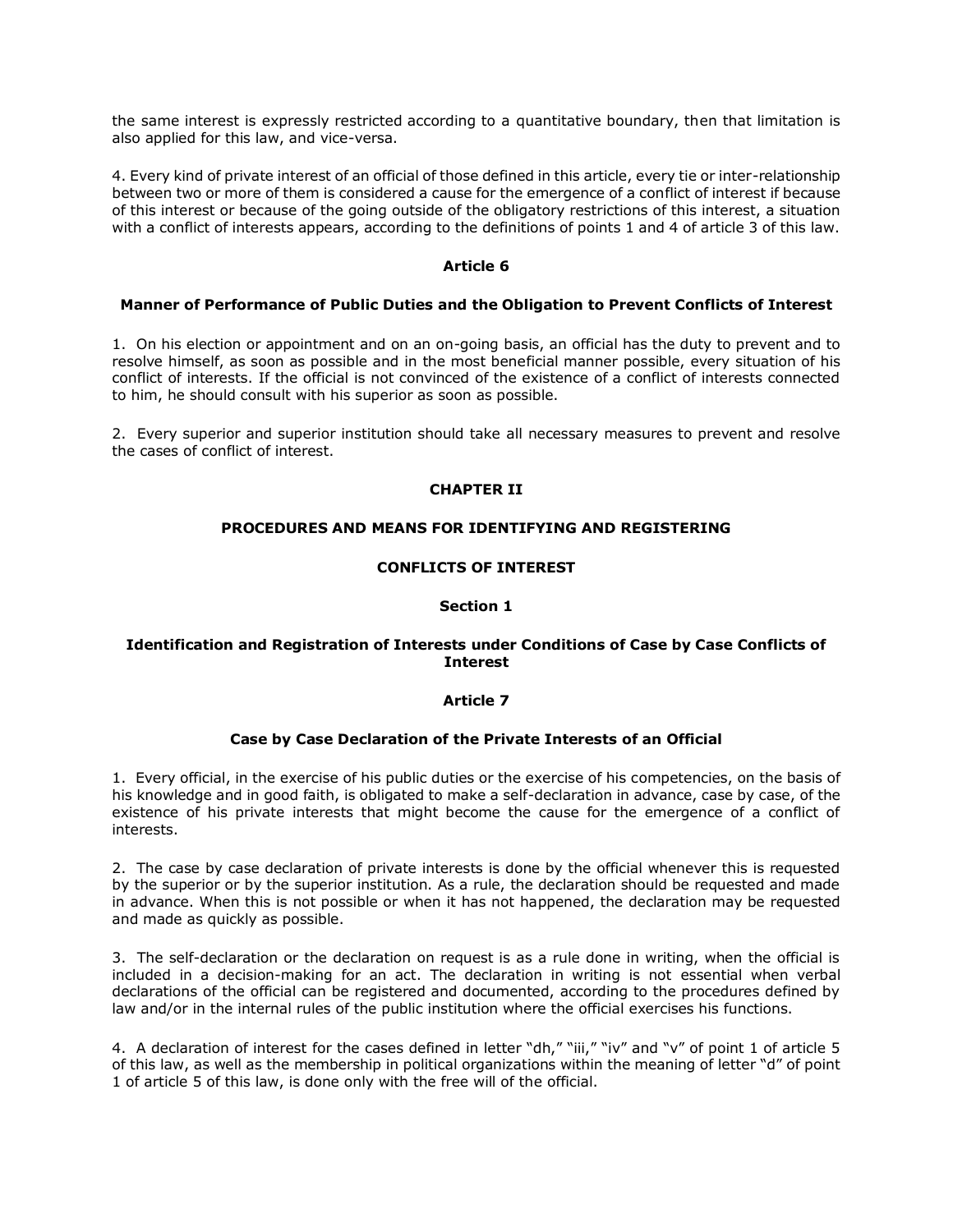the same interest is expressly restricted according to a quantitative boundary, then that limitation is also applied for this law, and vice-versa.

4. Every kind of private interest of an official of those defined in this article, every tie or inter-relationship between two or more of them is considered a cause for the emergence of a conflict of interest if because of this interest or because of the going outside of the obligatory restrictions of this interest, a situation with a conflict of interests appears, according to the definitions of points 1 and 4 of article 3 of this law.

### **Article 6**

#### **Manner of Performance of Public Duties and the Obligation to Prevent Conflicts of Interest**

1. On his election or appointment and on an on-going basis, an official has the duty to prevent and to resolve himself, as soon as possible and in the most beneficial manner possible, every situation of his conflict of interests. If the official is not convinced of the existence of a conflict of interests connected to him, he should consult with his superior as soon as possible.

2. Every superior and superior institution should take all necessary measures to prevent and resolve the cases of conflict of interest.

### **CHAPTER II**

#### **PROCEDURES AND MEANS FOR IDENTIFYING AND REGISTERING**

### **CONFLICTS OF INTEREST**

#### **Section 1**

### **Identification and Registration of Interests under Conditions of Case by Case Conflicts of Interest**

#### **Article 7**

#### **Case by Case Declaration of the Private Interests of an Official**

1. Every official, in the exercise of his public duties or the exercise of his competencies, on the basis of his knowledge and in good faith, is obligated to make a self-declaration in advance, case by case, of the existence of his private interests that might become the cause for the emergence of a conflict of interests.

2. The case by case declaration of private interests is done by the official whenever this is requested by the superior or by the superior institution. As a rule, the declaration should be requested and made in advance. When this is not possible or when it has not happened, the declaration may be requested and made as quickly as possible.

3. The self-declaration or the declaration on request is as a rule done in writing, when the official is included in a decision-making for an act. The declaration in writing is not essential when verbal declarations of the official can be registered and documented, according to the procedures defined by law and/or in the internal rules of the public institution where the official exercises his functions.

4. A declaration of interest for the cases defined in letter "dh," "iii," "iv" and "v" of point 1 of article 5 of this law, as well as the membership in political organizations within the meaning of letter "d" of point 1 of article 5 of this law, is done only with the free will of the official.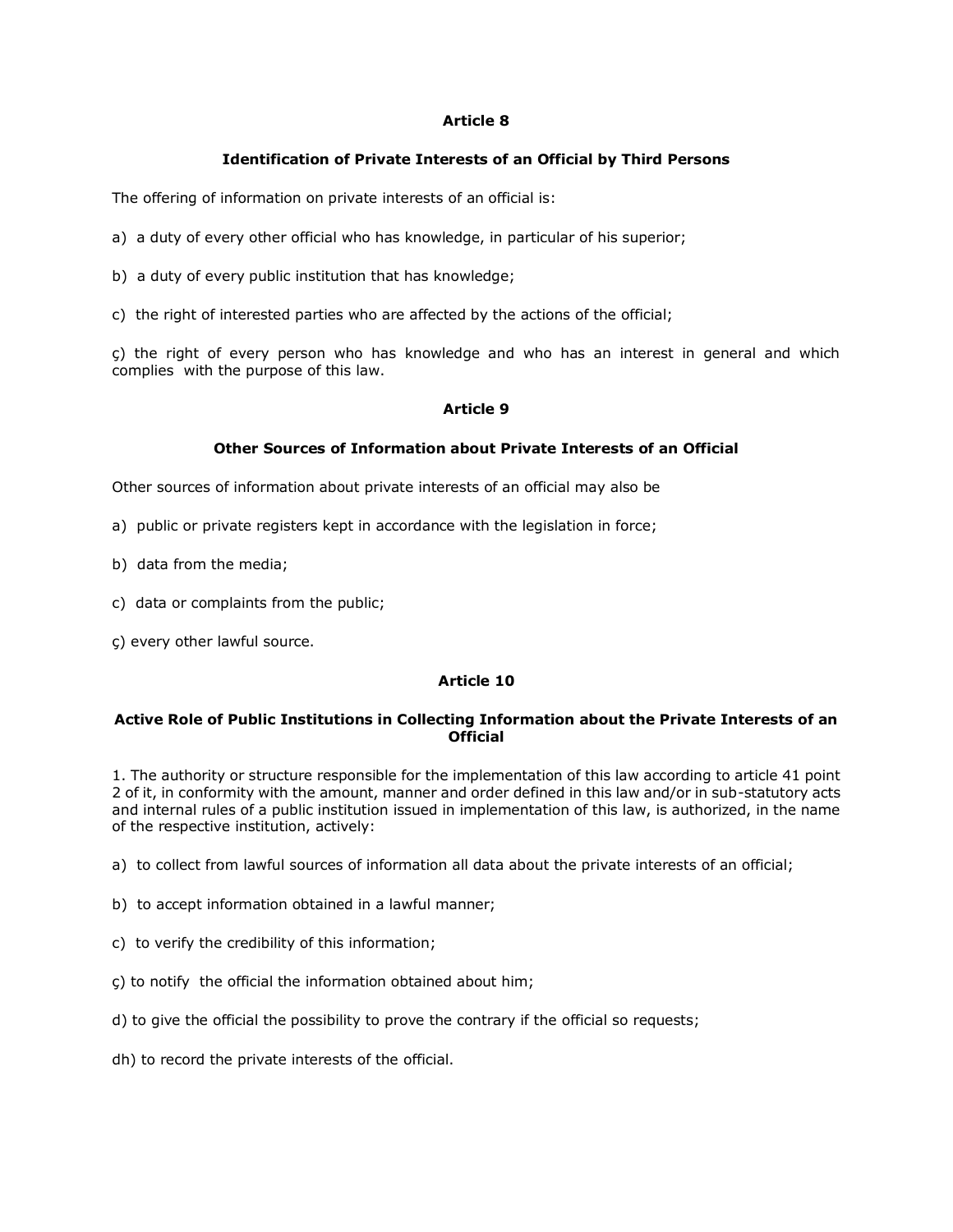# **Article 8**

# **Identification of Private Interests of an Official by Third Persons**

The offering of information on private interests of an official is:

- a) a duty of every other official who has knowledge, in particular of his superior;
- b) a duty of every public institution that has knowledge;
- c) the right of interested parties who are affected by the actions of the official;

ç) the right of every person who has knowledge and who has an interest in general and which complies with the purpose of this law.

# **Article 9**

# **Other Sources of Information about Private Interests of an Official**

Other sources of information about private interests of an official may also be

- a) public or private registers kept in accordance with the legislation in force;
- b) data from the media;
- c) data or complaints from the public;
- ç) every other lawful source.

# **Article 10**

# **Active Role of Public Institutions in Collecting Information about the Private Interests of an Official**

1. The authority or structure responsible for the implementation of this law according to article 41 point 2 of it, in conformity with the amount, manner and order defined in this law and/or in sub-statutory acts and internal rules of a public institution issued in implementation of this law, is authorized, in the name of the respective institution, actively:

- a) to collect from lawful sources of information all data about the private interests of an official;
- b) to accept information obtained in a lawful manner;
- c) to verify the credibility of this information;
- ç) to notify the official the information obtained about him;
- d) to give the official the possibility to prove the contrary if the official so requests;
- dh) to record the private interests of the official.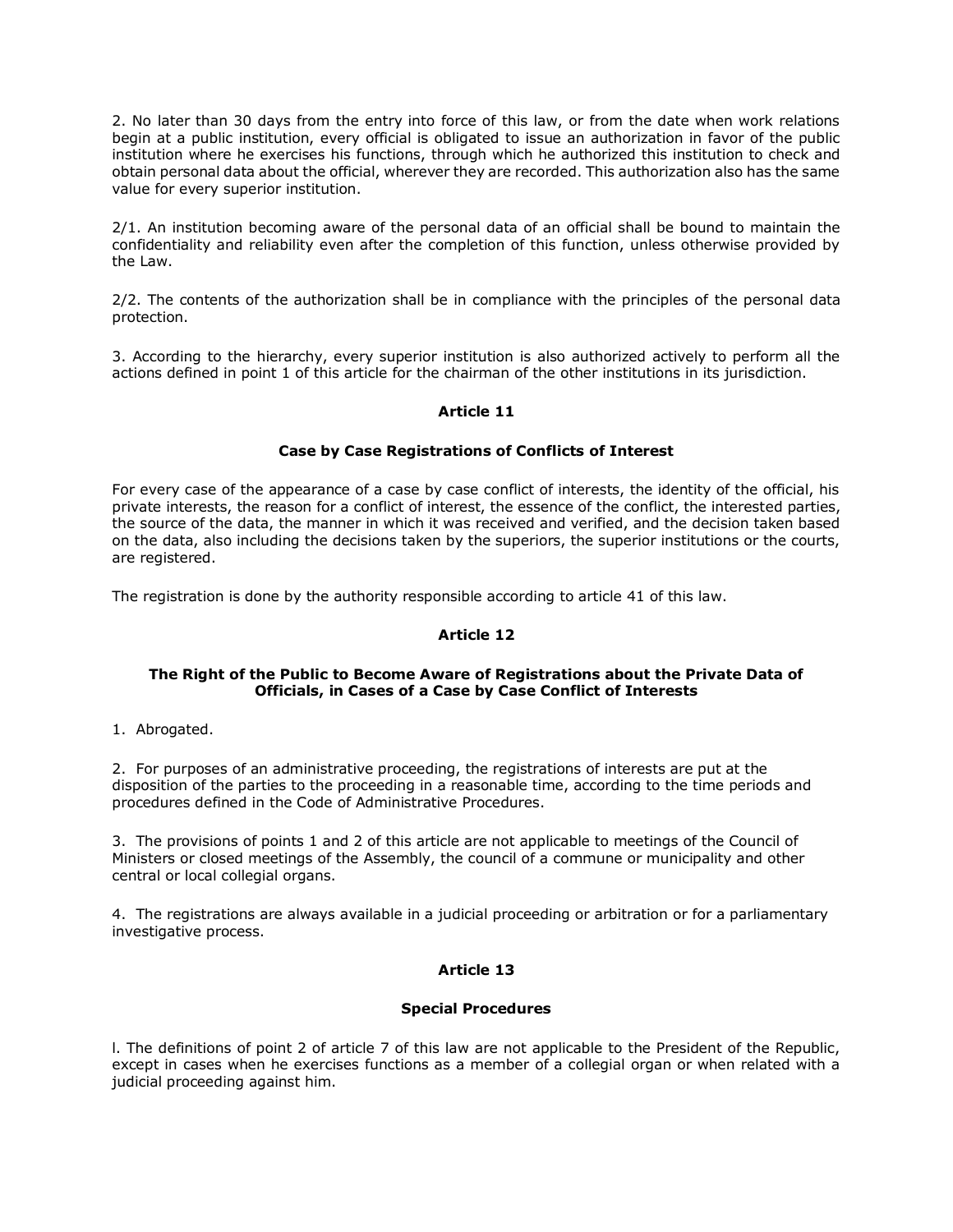2. No later than 30 days from the entry into force of this law, or from the date when work relations begin at a public institution, every official is obligated to issue an authorization in favor of the public institution where he exercises his functions, through which he authorized this institution to check and obtain personal data about the official, wherever they are recorded. This authorization also has the same value for every superior institution.

2/1. An institution becoming aware of the personal data of an official shall be bound to maintain the confidentiality and reliability even after the completion of this function, unless otherwise provided by the Law.

2/2. The contents of the authorization shall be in compliance with the principles of the personal data protection.

3. According to the hierarchy, every superior institution is also authorized actively to perform all the actions defined in point 1 of this article for the chairman of the other institutions in its jurisdiction.

# **Article 11**

### **Case by Case Registrations of Conflicts of Interest**

For every case of the appearance of a case by case conflict of interests, the identity of the official, his private interests, the reason for a conflict of interest, the essence of the conflict, the interested parties, the source of the data, the manner in which it was received and verified, and the decision taken based on the data, also including the decisions taken by the superiors, the superior institutions or the courts, are registered.

The registration is done by the authority responsible according to article 41 of this law.

# **Article 12**

### **The Right of the Public to Become Aware of Registrations about the Private Data of Officials, in Cases of a Case by Case Conflict of Interests**

1. Abrogated.

2. For purposes of an administrative proceeding, the registrations of interests are put at the disposition of the parties to the proceeding in a reasonable time, according to the time periods and procedures defined in the Code of Administrative Procedures.

3. The provisions of points 1 and 2 of this article are not applicable to meetings of the Council of Ministers or closed meetings of the Assembly, the council of a commune or municipality and other central or local collegial organs.

4. The registrations are always available in a judicial proceeding or arbitration or for a parliamentary investigative process.

# **Article 13**

#### **Special Procedures**

l. The definitions of point 2 of article 7 of this law are not applicable to the President of the Republic, except in cases when he exercises functions as a member of a collegial organ or when related with a judicial proceeding against him.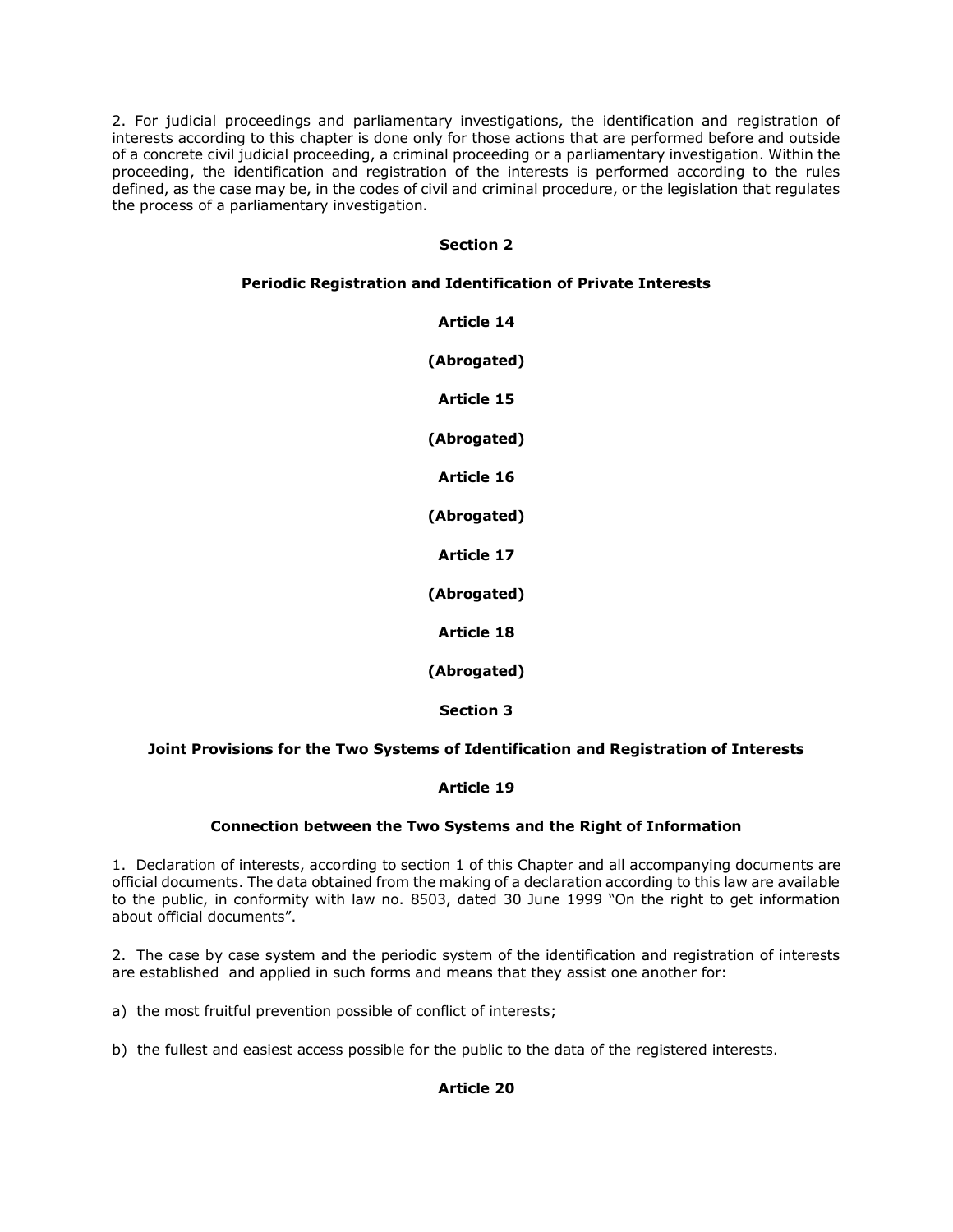2. For judicial proceedings and parliamentary investigations, the identification and registration of interests according to this chapter is done only for those actions that are performed before and outside of a concrete civil judicial proceeding, a criminal proceeding or a parliamentary investigation. Within the proceeding, the identification and registration of the interests is performed according to the rules defined, as the case may be, in the codes of civil and criminal procedure, or the legislation that regulates the process of a parliamentary investigation.

# **Section 2**

# **Periodic Registration and Identification of Private Interests**

**Article 14 (Abrogated) Article 15 (Abrogated) Article 16 (Abrogated) Article 17 (Abrogated) Article 18 (Abrogated) Section 3**

# **Joint Provisions for the Two Systems of Identification and Registration of Interests**

# **Article 19**

# **Connection between the Two Systems and the Right of Information**

1. Declaration of interests, according to section 1 of this Chapter and all accompanying documents are official documents. The data obtained from the making of a declaration according to this law are available to the public, in conformity with law no. 8503, dated 30 June 1999 "On the right to get information about official documents".

2. The case by case system and the periodic system of the identification and registration of interests are established and applied in such forms and means that they assist one another for:

a) the most fruitful prevention possible of conflict of interests;

b) the fullest and easiest access possible for the public to the data of the registered interests.

# **Article 20**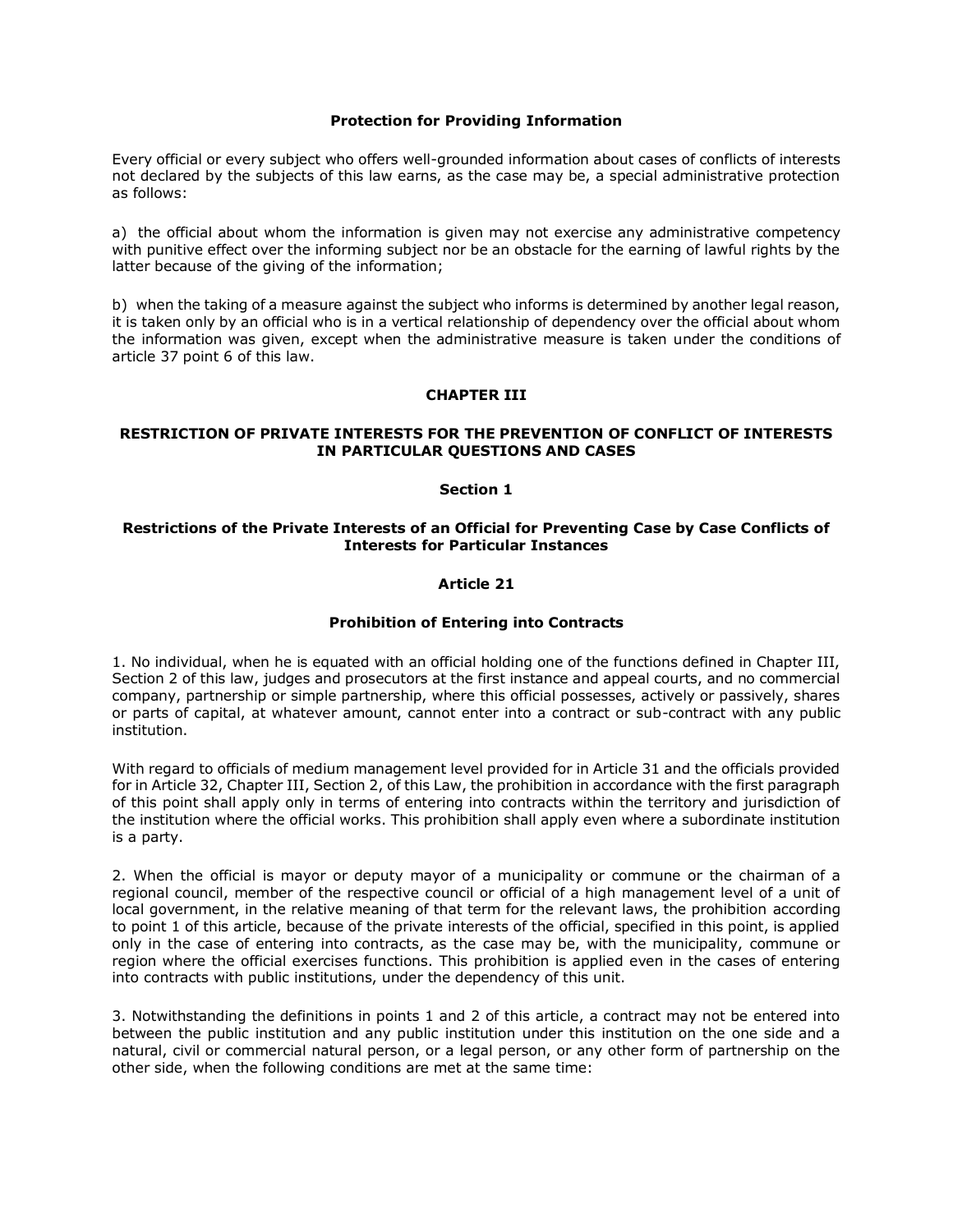### **Protection for Providing Information**

Every official or every subject who offers well-grounded information about cases of conflicts of interests not declared by the subjects of this law earns, as the case may be, a special administrative protection as follows:

a) the official about whom the information is given may not exercise any administrative competency with punitive effect over the informing subject nor be an obstacle for the earning of lawful rights by the latter because of the giving of the information;

b) when the taking of a measure against the subject who informs is determined by another legal reason, it is taken only by an official who is in a vertical relationship of dependency over the official about whom the information was given, except when the administrative measure is taken under the conditions of article 37 point 6 of this law.

### **CHAPTER III**

### **RESTRICTION OF PRIVATE INTERESTS FOR THE PREVENTION OF CONFLICT OF INTERESTS IN PARTICULAR QUESTIONS AND CASES**

### **Section 1**

### **Restrictions of the Private Interests of an Official for Preventing Case by Case Conflicts of Interests for Particular Instances**

### **Article 21**

### **Prohibition of Entering into Contracts**

1. No individual, when he is equated with an official holding one of the functions defined in Chapter III, Section 2 of this law, judges and prosecutors at the first instance and appeal courts, and no commercial company, partnership or simple partnership, where this official possesses, actively or passively, shares or parts of capital, at whatever amount, cannot enter into a contract or sub-contract with any public institution.

With regard to officials of medium management level provided for in Article 31 and the officials provided for in Article 32, Chapter III, Section 2, of this Law, the prohibition in accordance with the first paragraph of this point shall apply only in terms of entering into contracts within the territory and jurisdiction of the institution where the official works. This prohibition shall apply even where a subordinate institution is a party.

2. When the official is mayor or deputy mayor of a municipality or commune or the chairman of a regional council, member of the respective council or official of a high management level of a unit of local government, in the relative meaning of that term for the relevant laws, the prohibition according to point 1 of this article, because of the private interests of the official, specified in this point, is applied only in the case of entering into contracts, as the case may be, with the municipality, commune or region where the official exercises functions. This prohibition is applied even in the cases of entering into contracts with public institutions, under the dependency of this unit.

3. Notwithstanding the definitions in points 1 and 2 of this article, a contract may not be entered into between the public institution and any public institution under this institution on the one side and a natural, civil or commercial natural person, or a legal person, or any other form of partnership on the other side, when the following conditions are met at the same time: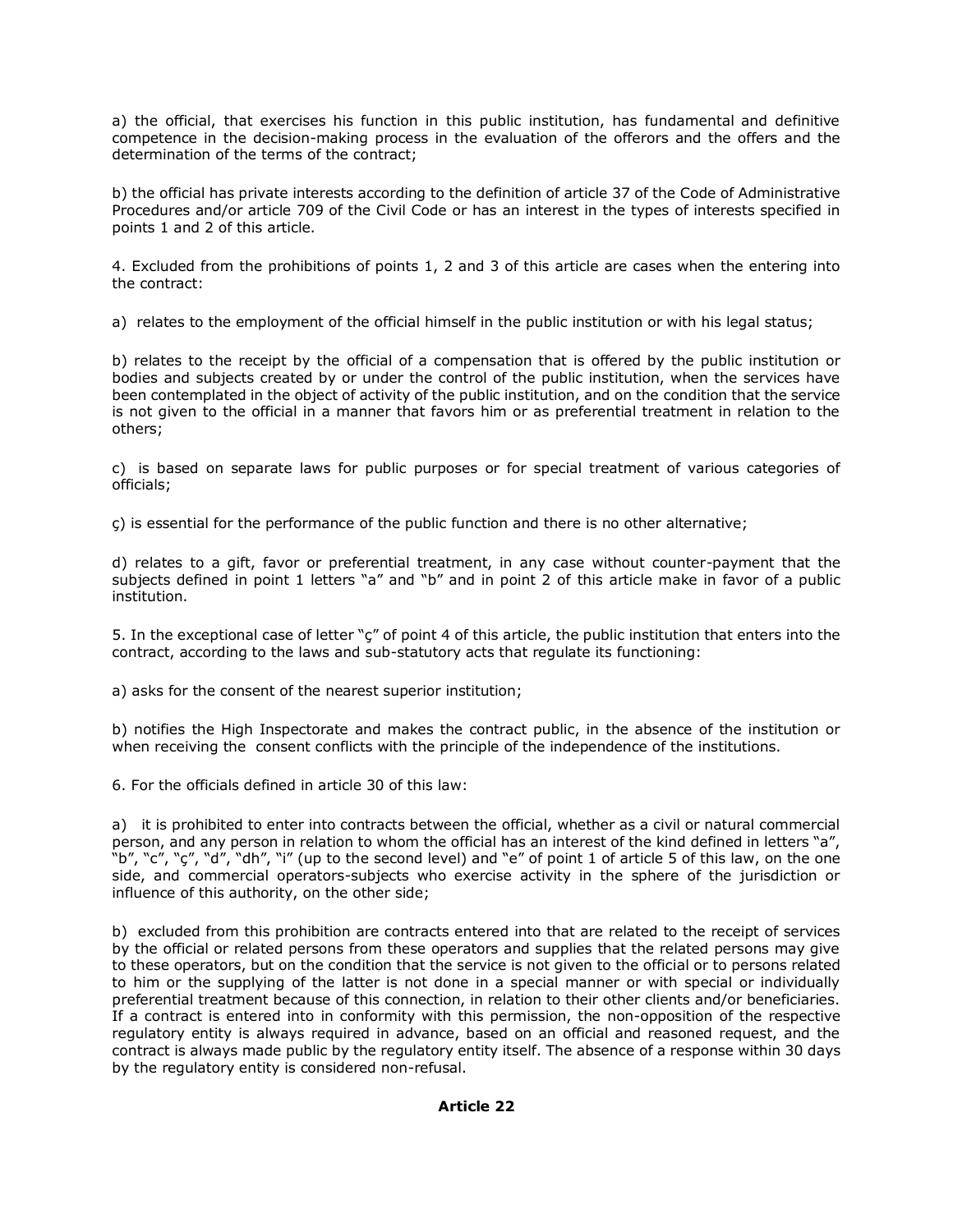a) the official, that exercises his function in this public institution, has fundamental and definitive competence in the decision-making process in the evaluation of the offerors and the offers and the determination of the terms of the contract;

b) the official has private interests according to the definition of article 37 of the Code of Administrative Procedures and/or article 709 of the Civil Code or has an interest in the types of interests specified in points 1 and 2 of this article.

4. Excluded from the prohibitions of points 1, 2 and 3 of this article are cases when the entering into the contract:

a) relates to the employment of the official himself in the public institution or with his legal status;

b) relates to the receipt by the official of a compensation that is offered by the public institution or bodies and subjects created by or under the control of the public institution, when the services have been contemplated in the object of activity of the public institution, and on the condition that the service is not given to the official in a manner that favors him or as preferential treatment in relation to the others;

c) is based on separate laws for public purposes or for special treatment of various categories of officials;

ç) is essential for the performance of the public function and there is no other alternative;

d) relates to a gift, favor or preferential treatment, in any case without counter-payment that the subjects defined in point 1 letters "a" and "b" and in point 2 of this article make in favor of a public institution.

5. In the exceptional case of letter "ç" of point 4 of this article, the public institution that enters into the contract, according to the laws and sub-statutory acts that regulate its functioning:

a) asks for the consent of the nearest superior institution;

b) notifies the High Inspectorate and makes the contract public, in the absence of the institution or when receiving the consent conflicts with the principle of the independence of the institutions.

6. For the officials defined in article 30 of this law:

a) it is prohibited to enter into contracts between the official, whether as a civil or natural commercial person, and any person in relation to whom the official has an interest of the kind defined in letters "a", "b", "c", "ç", "d", "dh", "i" (up to the second level) and "e" of point 1 of article 5 of this law, on the one side, and commercial operators-subjects who exercise activity in the sphere of the jurisdiction or influence of this authority, on the other side;

b) excluded from this prohibition are contracts entered into that are related to the receipt of services by the official or related persons from these operators and supplies that the related persons may give to these operators, but on the condition that the service is not given to the official or to persons related to him or the supplying of the latter is not done in a special manner or with special or individually preferential treatment because of this connection, in relation to their other clients and/or beneficiaries. If a contract is entered into in conformity with this permission, the non-opposition of the respective regulatory entity is always required in advance, based on an official and reasoned request, and the contract is always made public by the regulatory entity itself. The absence of a response within 30 days by the regulatory entity is considered non-refusal.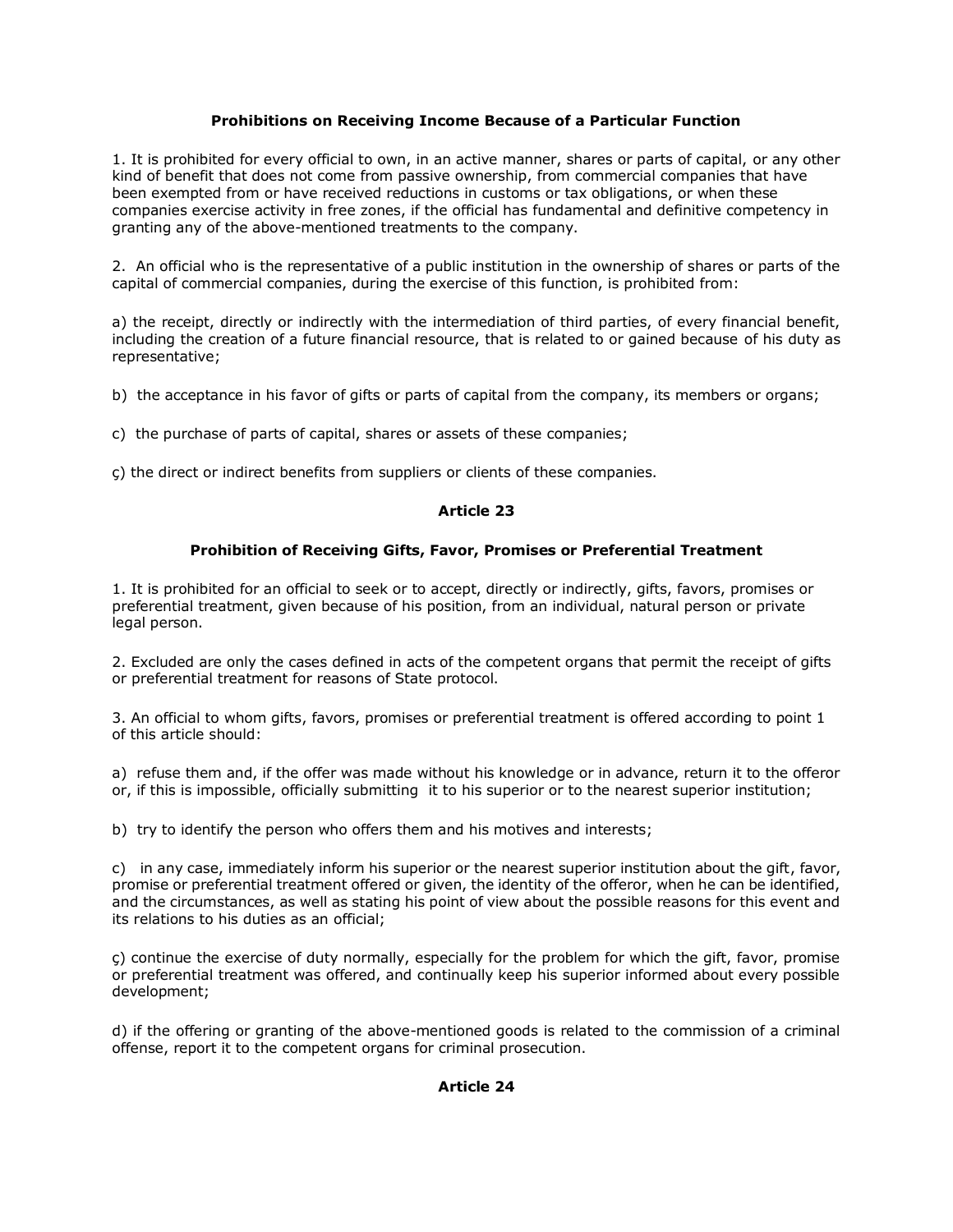# **Prohibitions on Receiving Income Because of a Particular Function**

1. It is prohibited for every official to own, in an active manner, shares or parts of capital, or any other kind of benefit that does not come from passive ownership, from commercial companies that have been exempted from or have received reductions in customs or tax obligations, or when these companies exercise activity in free zones, if the official has fundamental and definitive competency in granting any of the above-mentioned treatments to the company.

2. An official who is the representative of a public institution in the ownership of shares or parts of the capital of commercial companies, during the exercise of this function, is prohibited from:

a) the receipt, directly or indirectly with the intermediation of third parties, of every financial benefit, including the creation of a future financial resource, that is related to or gained because of his duty as representative;

b) the acceptance in his favor of gifts or parts of capital from the company, its members or organs;

c) the purchase of parts of capital, shares or assets of these companies;

ç) the direct or indirect benefits from suppliers or clients of these companies.

# **Article 23**

# **Prohibition of Receiving Gifts, Favor, Promises or Preferential Treatment**

1. It is prohibited for an official to seek or to accept, directly or indirectly, gifts, favors, promises or preferential treatment, given because of his position, from an individual, natural person or private legal person.

2. Excluded are only the cases defined in acts of the competent organs that permit the receipt of gifts or preferential treatment for reasons of State protocol.

3. An official to whom gifts, favors, promises or preferential treatment is offered according to point 1 of this article should:

a) refuse them and, if the offer was made without his knowledge or in advance, return it to the offeror or, if this is impossible, officially submitting it to his superior or to the nearest superior institution;

b) try to identify the person who offers them and his motives and interests;

c) in any case, immediately inform his superior or the nearest superior institution about the gift, favor, promise or preferential treatment offered or given, the identity of the offeror, when he can be identified, and the circumstances, as well as stating his point of view about the possible reasons for this event and its relations to his duties as an official;

ç) continue the exercise of duty normally, especially for the problem for which the gift, favor, promise or preferential treatment was offered, and continually keep his superior informed about every possible development;

d) if the offering or granting of the above-mentioned goods is related to the commission of a criminal offense, report it to the competent organs for criminal prosecution.

# **Article 24**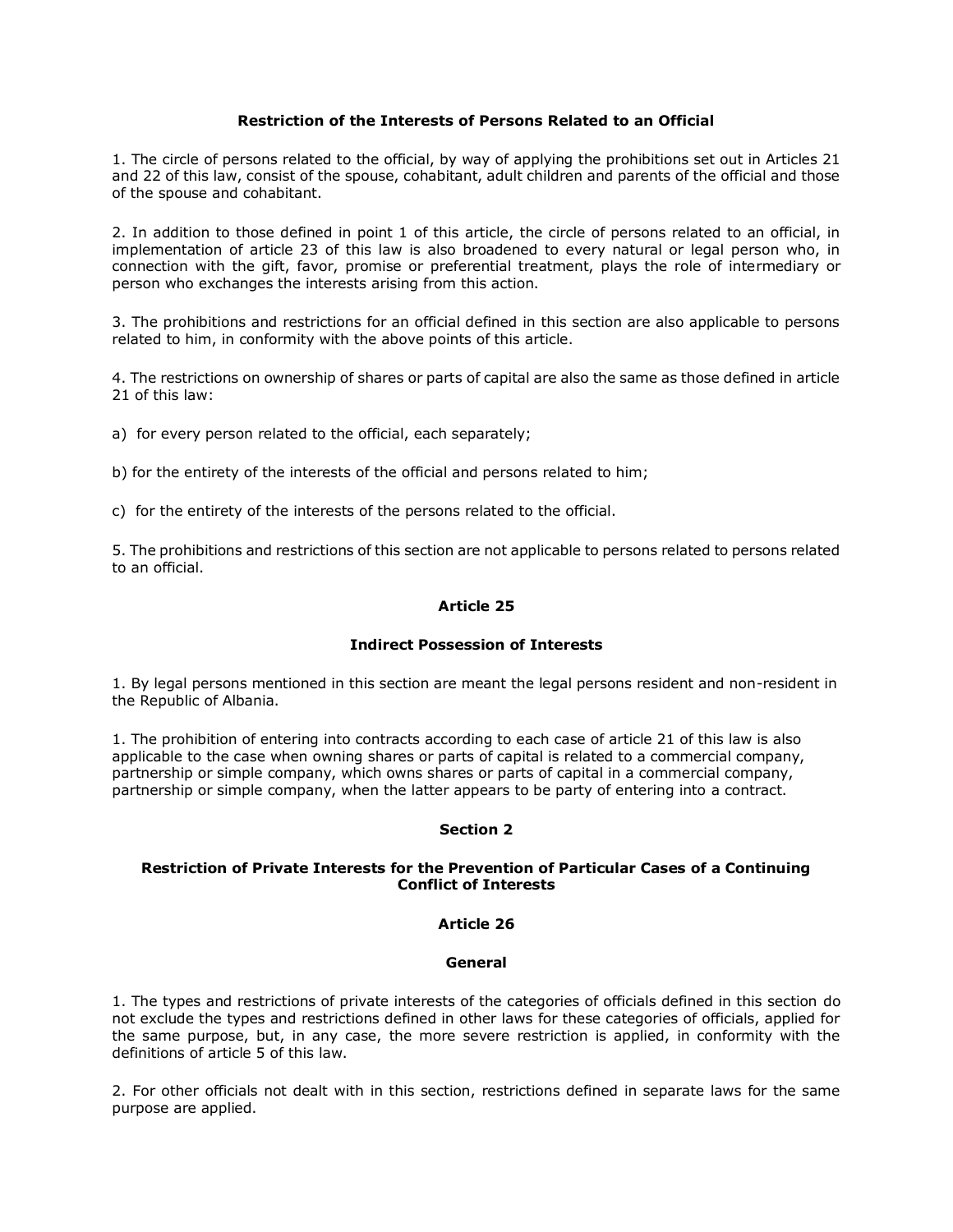### **Restriction of the Interests of Persons Related to an Official**

1. The circle of persons related to the official, by way of applying the prohibitions set out in Articles 21 and 22 of this law, consist of the spouse, cohabitant, adult children and parents of the official and those of the spouse and cohabitant.

2. In addition to those defined in point 1 of this article, the circle of persons related to an official, in implementation of article 23 of this law is also broadened to every natural or legal person who, in connection with the gift, favor, promise or preferential treatment, plays the role of intermediary or person who exchanges the interests arising from this action.

3. The prohibitions and restrictions for an official defined in this section are also applicable to persons related to him, in conformity with the above points of this article.

4. The restrictions on ownership of shares or parts of capital are also the same as those defined in article 21 of this law:

a) for every person related to the official, each separately;

b) for the entirety of the interests of the official and persons related to him;

c) for the entirety of the interests of the persons related to the official.

5. The prohibitions and restrictions of this section are not applicable to persons related to persons related to an official.

### **Article 25**

# **Indirect Possession of Interests**

1. By legal persons mentioned in this section are meant the legal persons resident and non-resident in the Republic of Albania.

1. The prohibition of entering into contracts according to each case of article 21 of this law is also applicable to the case when owning shares or parts of capital is related to a commercial company, partnership or simple company, which owns shares or parts of capital in a commercial company, partnership or simple company, when the latter appears to be party of entering into a contract.

# **Section 2**

### **Restriction of Private Interests for the Prevention of Particular Cases of a Continuing Conflict of Interests**

### **Article 26**

#### **General**

1. The types and restrictions of private interests of the categories of officials defined in this section do not exclude the types and restrictions defined in other laws for these categories of officials, applied for the same purpose, but, in any case, the more severe restriction is applied, in conformity with the definitions of article 5 of this law.

2. For other officials not dealt with in this section, restrictions defined in separate laws for the same purpose are applied.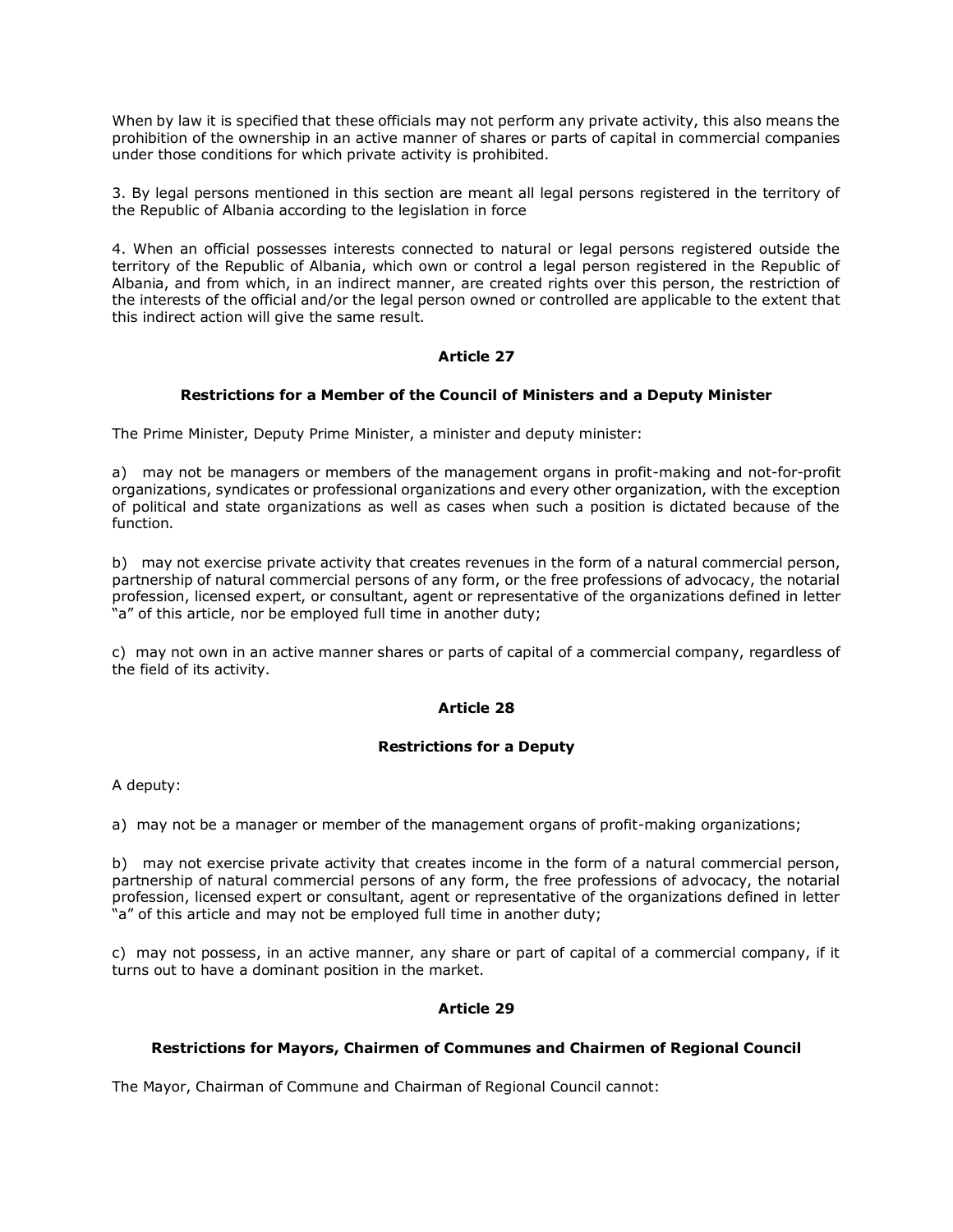When by law it is specified that these officials may not perform any private activity, this also means the prohibition of the ownership in an active manner of shares or parts of capital in commercial companies under those conditions for which private activity is prohibited.

3. By legal persons mentioned in this section are meant all legal persons registered in the territory of the Republic of Albania according to the legislation in force

4. When an official possesses interests connected to natural or legal persons registered outside the territory of the Republic of Albania, which own or control a legal person registered in the Republic of Albania, and from which, in an indirect manner, are created rights over this person, the restriction of the interests of the official and/or the legal person owned or controlled are applicable to the extent that this indirect action will give the same result.

# **Article 27**

# **Restrictions for a Member of the Council of Ministers and a Deputy Minister**

The Prime Minister, Deputy Prime Minister, a minister and deputy minister:

a) may not be managers or members of the management organs in profit-making and not-for-profit organizations, syndicates or professional organizations and every other organization, with the exception of political and state organizations as well as cases when such a position is dictated because of the function.

b) may not exercise private activity that creates revenues in the form of a natural commercial person, partnership of natural commercial persons of any form, or the free professions of advocacy, the notarial profession, licensed expert, or consultant, agent or representative of the organizations defined in letter "a" of this article, nor be employed full time in another duty;

c) may not own in an active manner shares or parts of capital of a commercial company, regardless of the field of its activity.

# **Article 28**

# **Restrictions for a Deputy**

A deputy:

a) may not be a manager or member of the management organs of profit-making organizations;

b) may not exercise private activity that creates income in the form of a natural commercial person, partnership of natural commercial persons of any form, the free professions of advocacy, the notarial profession, licensed expert or consultant, agent or representative of the organizations defined in letter "a" of this article and may not be employed full time in another duty;

c) may not possess, in an active manner, any share or part of capital of a commercial company, if it turns out to have a dominant position in the market.

# **Article 29**

# **Restrictions for Mayors, Chairmen of Communes and Chairmen of Regional Council**

The Mayor, Chairman of Commune and Chairman of Regional Council cannot: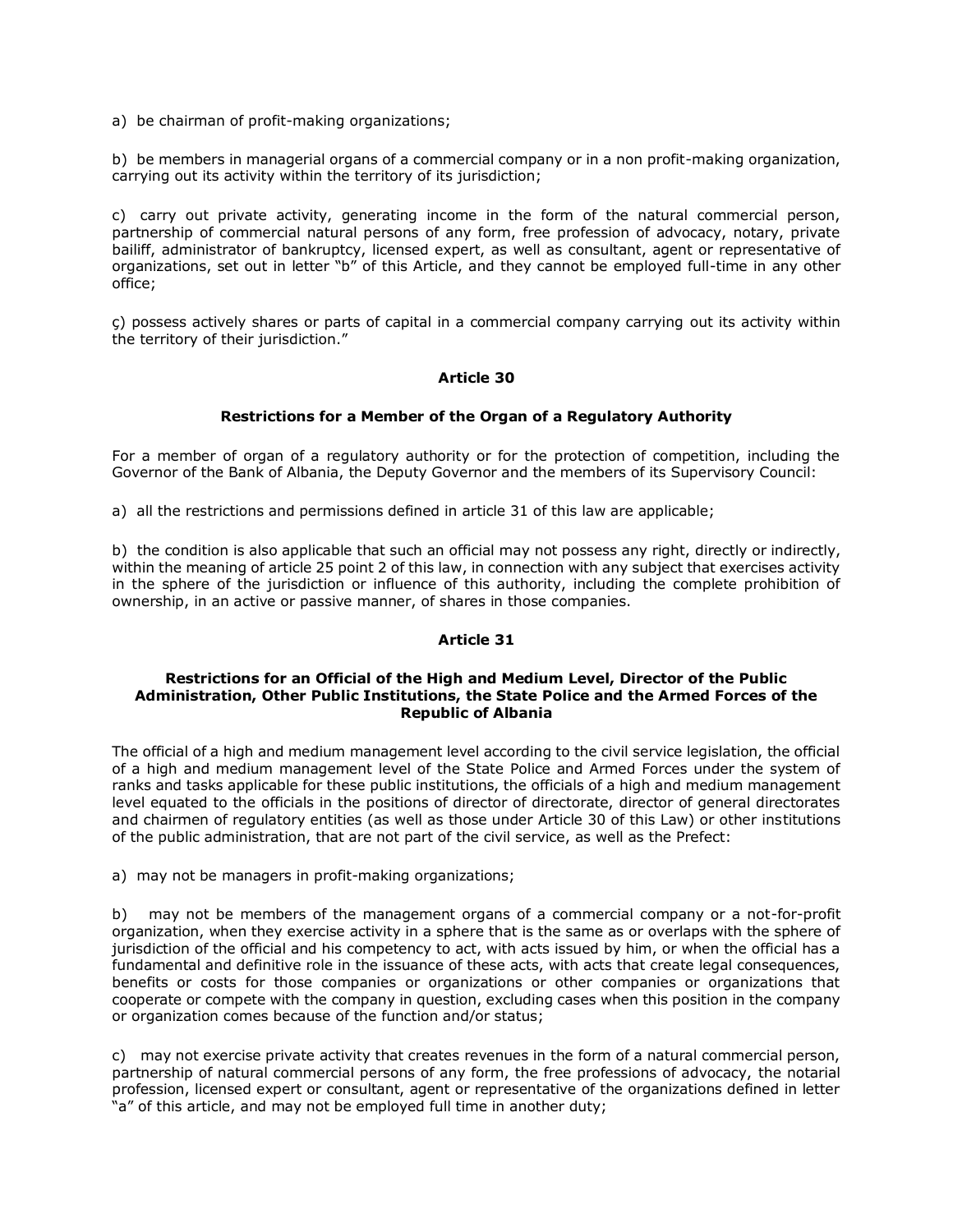a) be chairman of profit-making organizations;

b) be members in managerial organs of a commercial company or in a non profit-making organization, carrying out its activity within the territory of its jurisdiction;

c) carry out private activity, generating income in the form of the natural commercial person, partnership of commercial natural persons of any form, free profession of advocacy, notary, private bailiff, administrator of bankruptcy, licensed expert, as well as consultant, agent or representative of organizations, set out in letter "b" of this Article, and they cannot be employed full-time in any other office;

ç) possess actively shares or parts of capital in a commercial company carrying out its activity within the territory of their jurisdiction."

# **Article 30**

# **Restrictions for a Member of the Organ of a Regulatory Authority**

For a member of organ of a regulatory authority or for the protection of competition, including the Governor of the Bank of Albania, the Deputy Governor and the members of its Supervisory Council:

a) all the restrictions and permissions defined in article 31 of this law are applicable;

b) the condition is also applicable that such an official may not possess any right, directly or indirectly, within the meaning of article 25 point 2 of this law, in connection with any subject that exercises activity in the sphere of the jurisdiction or influence of this authority, including the complete prohibition of ownership, in an active or passive manner, of shares in those companies.

#### **Article 31**

### **Restrictions for an Official of the High and Medium Level, Director of the Public Administration, Other Public Institutions, the State Police and the Armed Forces of the Republic of Albania**

The official of a high and medium management level according to the civil service legislation, the official of a high and medium management level of the State Police and Armed Forces under the system of ranks and tasks applicable for these public institutions, the officials of a high and medium management level equated to the officials in the positions of director of directorate, director of general directorates and chairmen of regulatory entities (as well as those under Article 30 of this Law) or other institutions of the public administration, that are not part of the civil service, as well as the Prefect:

a) may not be managers in profit-making organizations;

b) may not be members of the management organs of a commercial company or a not-for-profit organization, when they exercise activity in a sphere that is the same as or overlaps with the sphere of jurisdiction of the official and his competency to act, with acts issued by him, or when the official has a fundamental and definitive role in the issuance of these acts, with acts that create legal consequences, benefits or costs for those companies or organizations or other companies or organizations that cooperate or compete with the company in question, excluding cases when this position in the company or organization comes because of the function and/or status;

c) may not exercise private activity that creates revenues in the form of a natural commercial person, partnership of natural commercial persons of any form, the free professions of advocacy, the notarial profession, licensed expert or consultant, agent or representative of the organizations defined in letter "a" of this article, and may not be employed full time in another duty;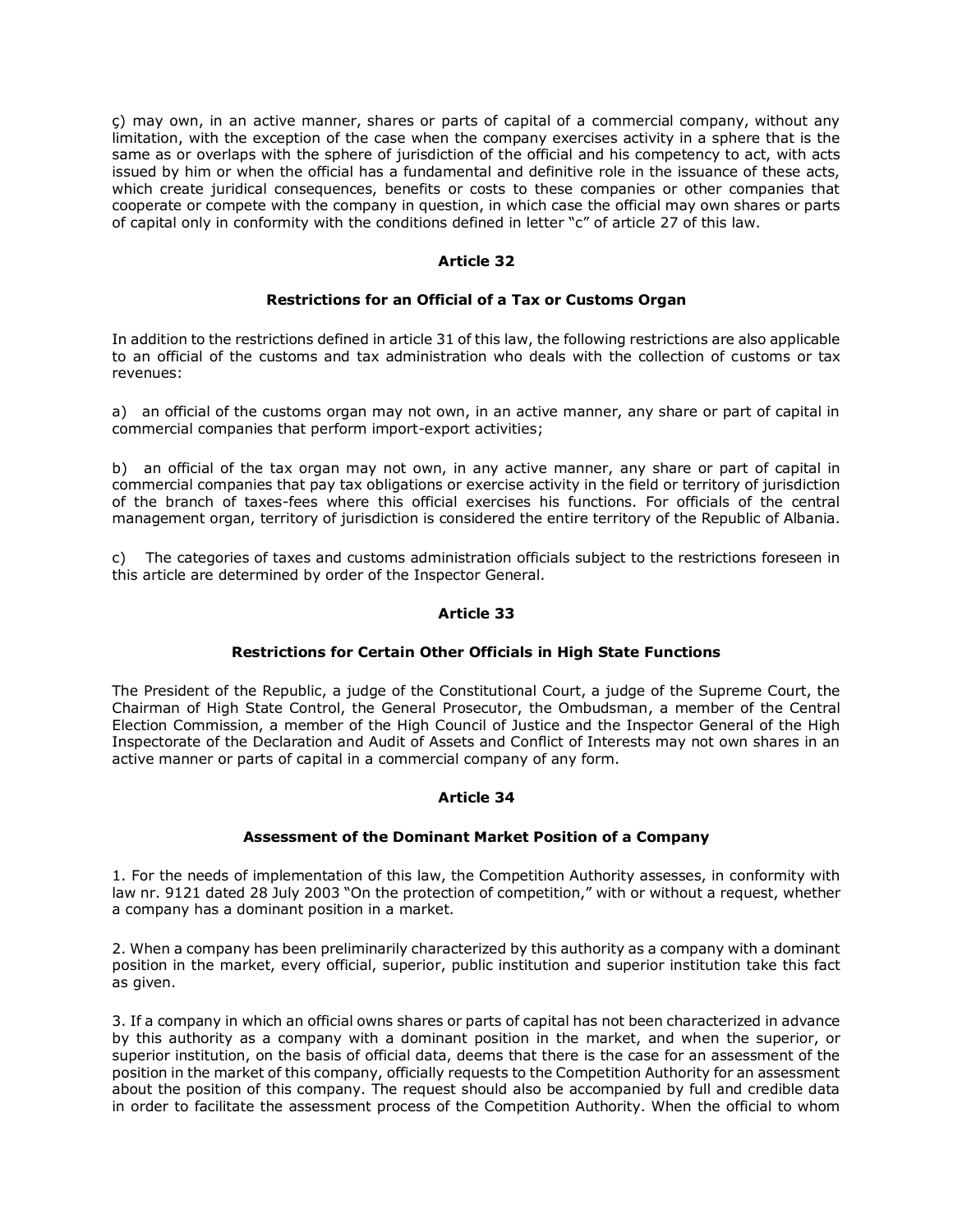ç) may own, in an active manner, shares or parts of capital of a commercial company, without any limitation, with the exception of the case when the company exercises activity in a sphere that is the same as or overlaps with the sphere of jurisdiction of the official and his competency to act, with acts issued by him or when the official has a fundamental and definitive role in the issuance of these acts, which create juridical consequences, benefits or costs to these companies or other companies that cooperate or compete with the company in question, in which case the official may own shares or parts of capital only in conformity with the conditions defined in letter "c" of article 27 of this law.

# **Article 32**

### **Restrictions for an Official of a Tax or Customs Organ**

In addition to the restrictions defined in article 31 of this law, the following restrictions are also applicable to an official of the customs and tax administration who deals with the collection of customs or tax revenues:

a) an official of the customs organ may not own, in an active manner, any share or part of capital in commercial companies that perform import-export activities;

b) an official of the tax organ may not own, in any active manner, any share or part of capital in commercial companies that pay tax obligations or exercise activity in the field or territory of jurisdiction of the branch of taxes-fees where this official exercises his functions. For officials of the central management organ, territory of jurisdiction is considered the entire territory of the Republic of Albania.

c) The categories of taxes and customs administration officials subject to the restrictions foreseen in this article are determined by order of the Inspector General.

### **Article 33**

#### **Restrictions for Certain Other Officials in High State Functions**

The President of the Republic, a judge of the Constitutional Court, a judge of the Supreme Court, the Chairman of High State Control, the General Prosecutor, the Ombudsman, a member of the Central Election Commission, a member of the High Council of Justice and the Inspector General of the High Inspectorate of the Declaration and Audit of Assets and Conflict of Interests may not own shares in an active manner or parts of capital in a commercial company of any form.

# **Article 34**

#### **Assessment of the Dominant Market Position of a Company**

1. For the needs of implementation of this law, the Competition Authority assesses, in conformity with law nr. 9121 dated 28 July 2003 "On the protection of competition," with or without a request, whether a company has a dominant position in a market.

2. When a company has been preliminarily characterized by this authority as a company with a dominant position in the market, every official, superior, public institution and superior institution take this fact as given.

3. If a company in which an official owns shares or parts of capital has not been characterized in advance by this authority as a company with a dominant position in the market, and when the superior, or superior institution, on the basis of official data, deems that there is the case for an assessment of the position in the market of this company, officially requests to the Competition Authority for an assessment about the position of this company. The request should also be accompanied by full and credible data in order to facilitate the assessment process of the Competition Authority. When the official to whom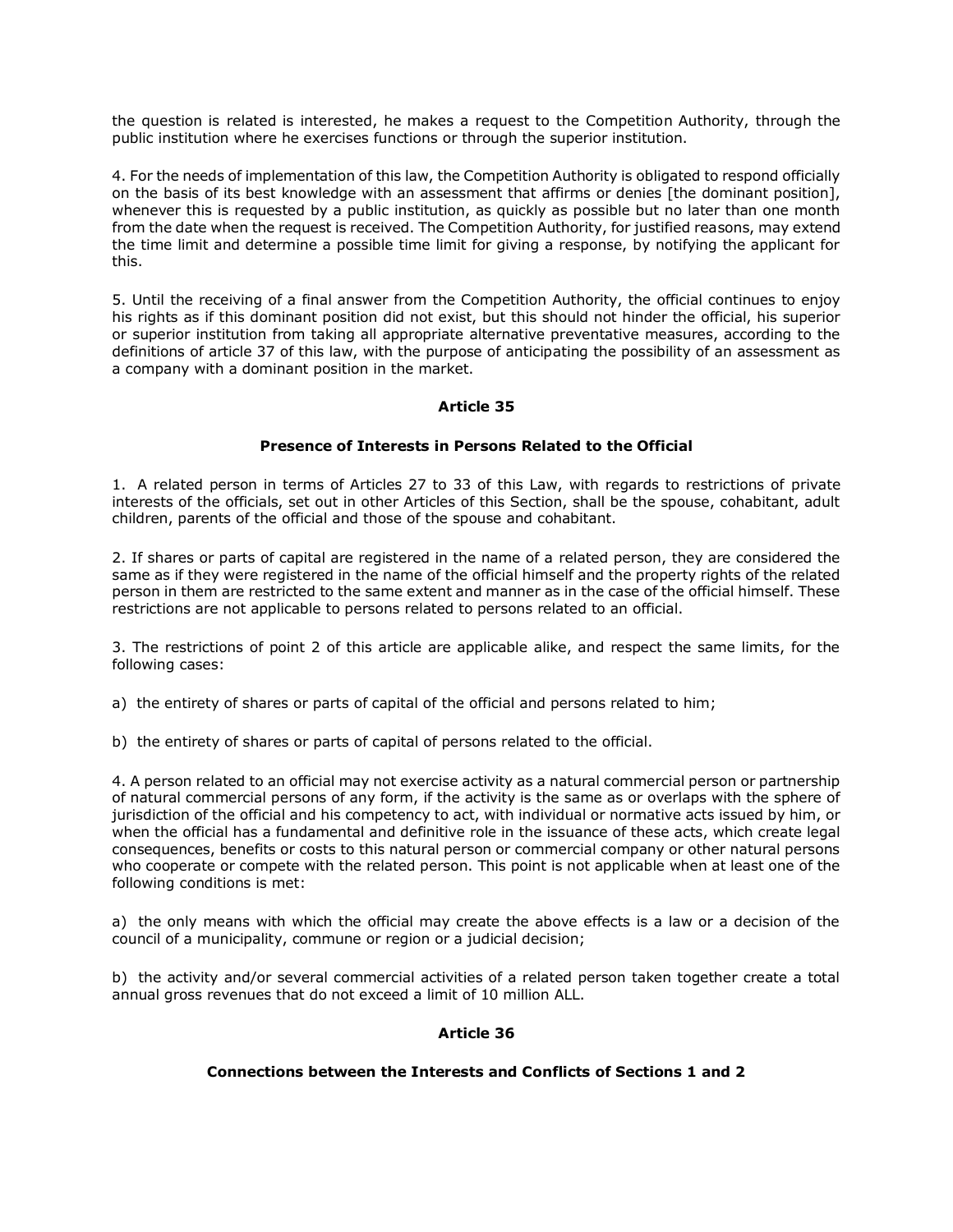the question is related is interested, he makes a request to the Competition Authority, through the public institution where he exercises functions or through the superior institution.

4. For the needs of implementation of this law, the Competition Authority is obligated to respond officially on the basis of its best knowledge with an assessment that affirms or denies [the dominant position], whenever this is requested by a public institution, as quickly as possible but no later than one month from the date when the request is received. The Competition Authority, for justified reasons, may extend the time limit and determine a possible time limit for giving a response, by notifying the applicant for this.

5. Until the receiving of a final answer from the Competition Authority, the official continues to enjoy his rights as if this dominant position did not exist, but this should not hinder the official, his superior or superior institution from taking all appropriate alternative preventative measures, according to the definitions of article 37 of this law, with the purpose of anticipating the possibility of an assessment as a company with a dominant position in the market.

### **Article 35**

# **Presence of Interests in Persons Related to the Official**

1. A related person in terms of Articles 27 to 33 of this Law, with regards to restrictions of private interests of the officials, set out in other Articles of this Section, shall be the spouse, cohabitant, adult children, parents of the official and those of the spouse and cohabitant.

2. If shares or parts of capital are registered in the name of a related person, they are considered the same as if they were registered in the name of the official himself and the property rights of the related person in them are restricted to the same extent and manner as in the case of the official himself. These restrictions are not applicable to persons related to persons related to an official.

3. The restrictions of point 2 of this article are applicable alike, and respect the same limits, for the following cases:

a) the entirety of shares or parts of capital of the official and persons related to him;

b) the entirety of shares or parts of capital of persons related to the official.

4. A person related to an official may not exercise activity as a natural commercial person or partnership of natural commercial persons of any form, if the activity is the same as or overlaps with the sphere of jurisdiction of the official and his competency to act, with individual or normative acts issued by him, or when the official has a fundamental and definitive role in the issuance of these acts, which create legal consequences, benefits or costs to this natural person or commercial company or other natural persons who cooperate or compete with the related person. This point is not applicable when at least one of the following conditions is met:

a) the only means with which the official may create the above effects is a law or a decision of the council of a municipality, commune or region or a judicial decision;

b) the activity and/or several commercial activities of a related person taken together create a total annual gross revenues that do not exceed a limit of 10 million ALL.

# **Article 36**

# **Connections between the Interests and Conflicts of Sections 1 and 2**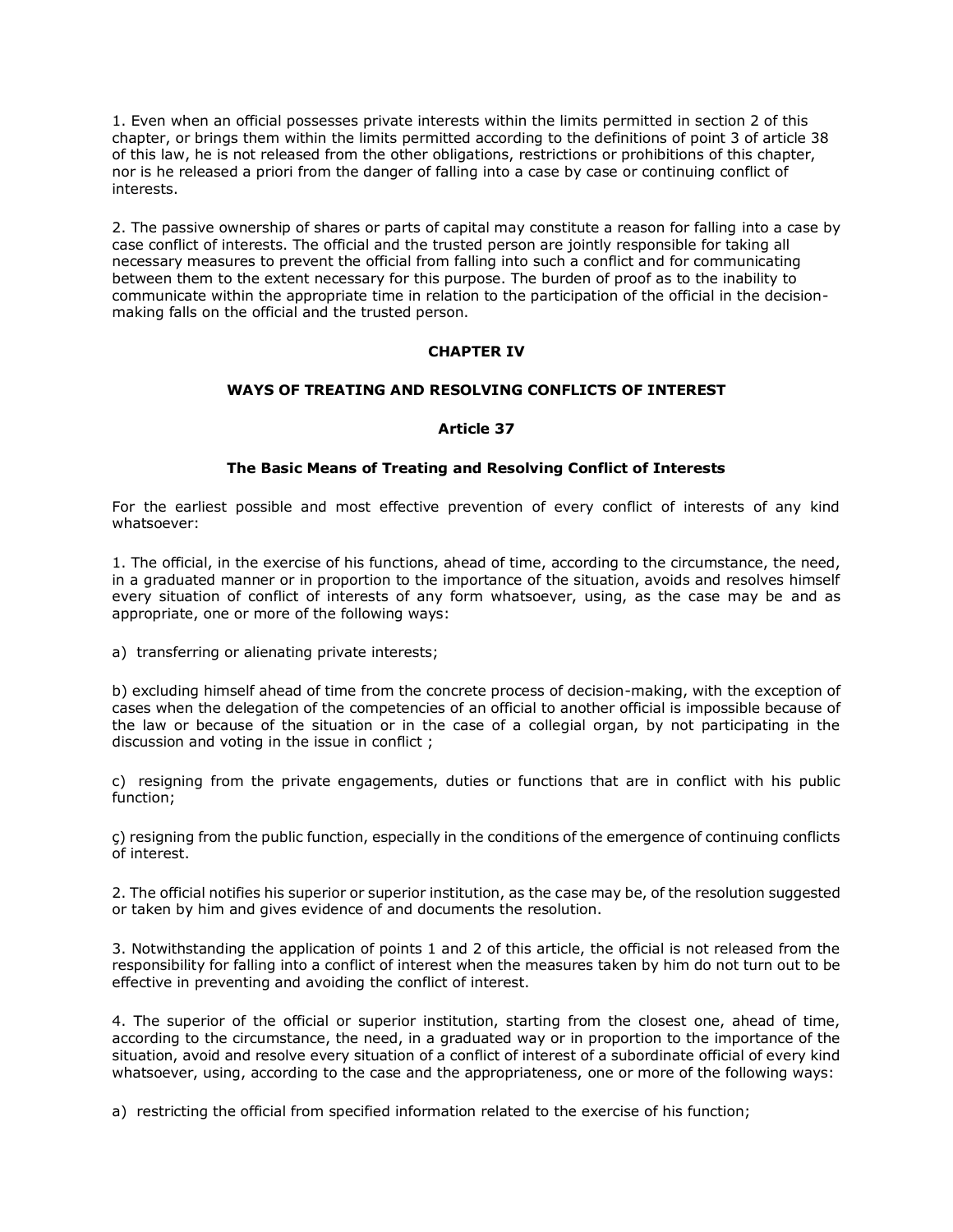1. Even when an official possesses private interests within the limits permitted in section 2 of this chapter, or brings them within the limits permitted according to the definitions of point 3 of article 38 of this law, he is not released from the other obligations, restrictions or prohibitions of this chapter, nor is he released a priori from the danger of falling into a case by case or continuing conflict of interests.

2. The passive ownership of shares or parts of capital may constitute a reason for falling into a case by case conflict of interests. The official and the trusted person are jointly responsible for taking all necessary measures to prevent the official from falling into such a conflict and for communicating between them to the extent necessary for this purpose. The burden of proof as to the inability to communicate within the appropriate time in relation to the participation of the official in the decisionmaking falls on the official and the trusted person.

# **CHAPTER IV**

### **WAYS OF TREATING AND RESOLVING CONFLICTS OF INTEREST**

### **Article 37**

### **The Basic Means of Treating and Resolving Conflict of Interests**

For the earliest possible and most effective prevention of every conflict of interests of any kind whatsoever:

1. The official, in the exercise of his functions, ahead of time, according to the circumstance, the need, in a graduated manner or in proportion to the importance of the situation, avoids and resolves himself every situation of conflict of interests of any form whatsoever, using, as the case may be and as appropriate, one or more of the following ways:

a) transferring or alienating private interests;

b) excluding himself ahead of time from the concrete process of decision-making, with the exception of cases when the delegation of the competencies of an official to another official is impossible because of the law or because of the situation or in the case of a collegial organ, by not participating in the discussion and voting in the issue in conflict ;

c) resigning from the private engagements, duties or functions that are in conflict with his public function;

ç) resigning from the public function, especially in the conditions of the emergence of continuing conflicts of interest.

2. The official notifies his superior or superior institution, as the case may be, of the resolution suggested or taken by him and gives evidence of and documents the resolution.

3. Notwithstanding the application of points 1 and 2 of this article, the official is not released from the responsibility for falling into a conflict of interest when the measures taken by him do not turn out to be effective in preventing and avoiding the conflict of interest.

4. The superior of the official or superior institution, starting from the closest one, ahead of time, according to the circumstance, the need, in a graduated way or in proportion to the importance of the situation, avoid and resolve every situation of a conflict of interest of a subordinate official of every kind whatsoever, using, according to the case and the appropriateness, one or more of the following ways:

a) restricting the official from specified information related to the exercise of his function;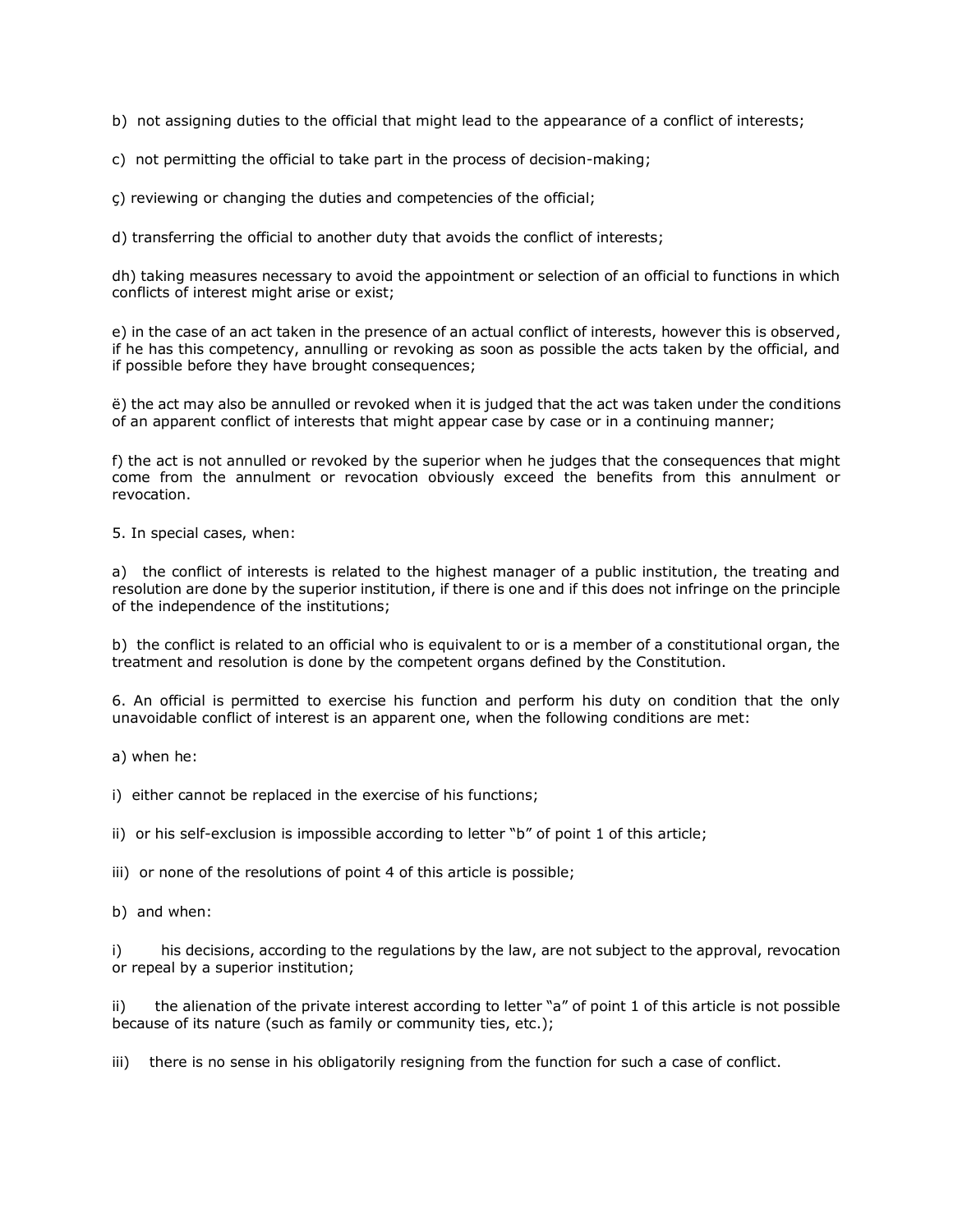b) not assigning duties to the official that might lead to the appearance of a conflict of interests;

c) not permitting the official to take part in the process of decision-making;

ç) reviewing or changing the duties and competencies of the official;

d) transferring the official to another duty that avoids the conflict of interests;

dh) taking measures necessary to avoid the appointment or selection of an official to functions in which conflicts of interest might arise or exist;

e) in the case of an act taken in the presence of an actual conflict of interests, however this is observed, if he has this competency, annulling or revoking as soon as possible the acts taken by the official, and if possible before they have brought consequences;

ë) the act may also be annulled or revoked when it is judged that the act was taken under the conditions of an apparent conflict of interests that might appear case by case or in a continuing manner;

f) the act is not annulled or revoked by the superior when he judges that the consequences that might come from the annulment or revocation obviously exceed the benefits from this annulment or revocation.

5. In special cases, when:

a) the conflict of interests is related to the highest manager of a public institution, the treating and resolution are done by the superior institution, if there is one and if this does not infringe on the principle of the independence of the institutions;

b) the conflict is related to an official who is equivalent to or is a member of a constitutional organ, the treatment and resolution is done by the competent organs defined by the Constitution.

6. An official is permitted to exercise his function and perform his duty on condition that the only unavoidable conflict of interest is an apparent one, when the following conditions are met:

a) when he:

i) either cannot be replaced in the exercise of his functions;

ii) or his self-exclusion is impossible according to letter "b" of point 1 of this article;

iii) or none of the resolutions of point 4 of this article is possible;

b) and when:

i) his decisions, according to the regulations by the law, are not subject to the approval, revocation or repeal by a superior institution;

ii) the alienation of the private interest according to letter "a" of point 1 of this article is not possible because of its nature (such as family or community ties, etc.);

iii) there is no sense in his obligatorily resigning from the function for such a case of conflict.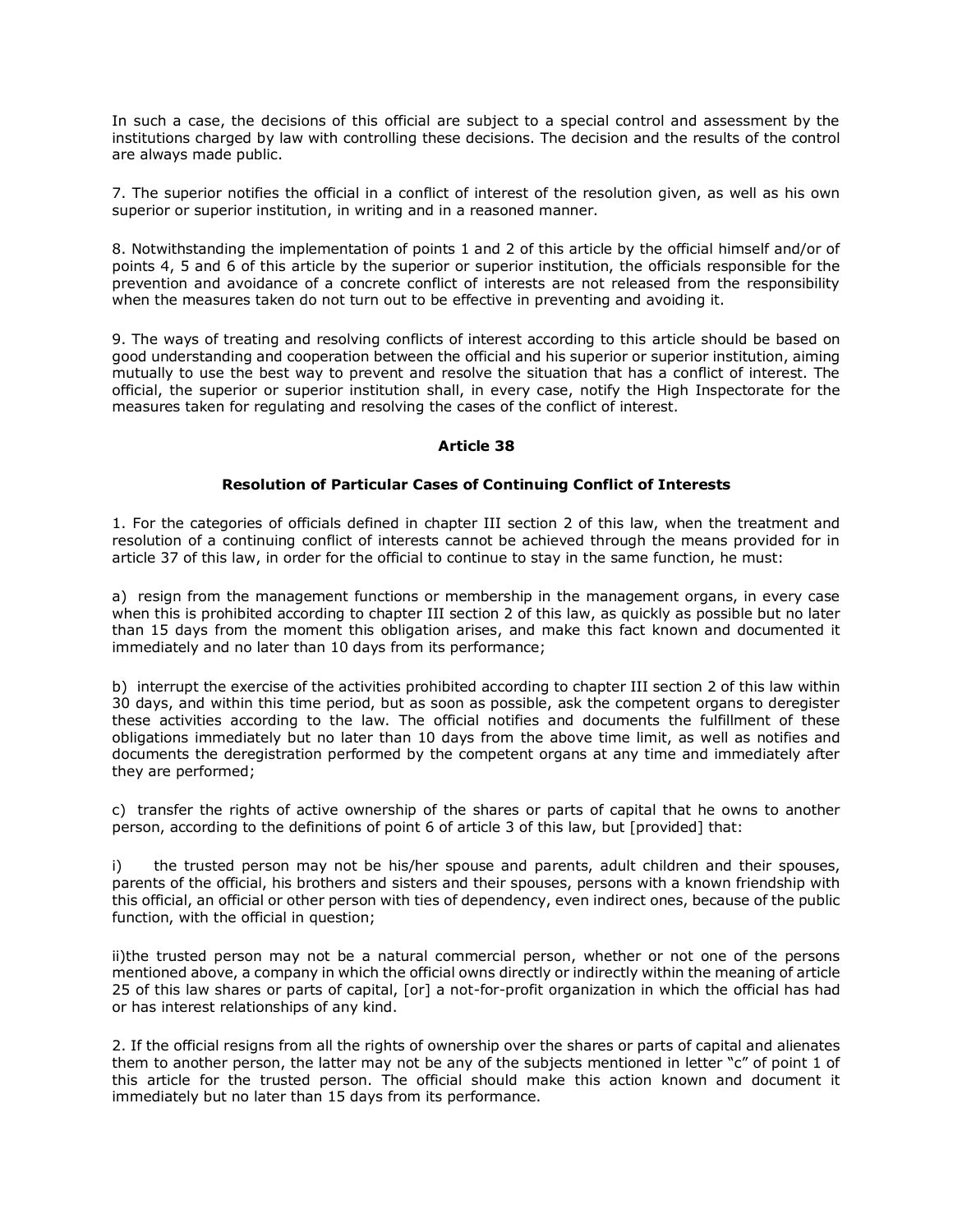In such a case, the decisions of this official are subject to a special control and assessment by the institutions charged by law with controlling these decisions. The decision and the results of the control are always made public.

7. The superior notifies the official in a conflict of interest of the resolution given, as well as his own superior or superior institution, in writing and in a reasoned manner.

8. Notwithstanding the implementation of points 1 and 2 of this article by the official himself and/or of points 4, 5 and 6 of this article by the superior or superior institution, the officials responsible for the prevention and avoidance of a concrete conflict of interests are not released from the responsibility when the measures taken do not turn out to be effective in preventing and avoiding it.

9. The ways of treating and resolving conflicts of interest according to this article should be based on good understanding and cooperation between the official and his superior or superior institution, aiming mutually to use the best way to prevent and resolve the situation that has a conflict of interest. The official, the superior or superior institution shall, in every case, notify the High Inspectorate for the measures taken for regulating and resolving the cases of the conflict of interest.

# **Article 38**

### **Resolution of Particular Cases of Continuing Conflict of Interests**

1. For the categories of officials defined in chapter III section 2 of this law, when the treatment and resolution of a continuing conflict of interests cannot be achieved through the means provided for in article 37 of this law, in order for the official to continue to stay in the same function, he must:

a) resign from the management functions or membership in the management organs, in every case when this is prohibited according to chapter III section 2 of this law, as quickly as possible but no later than 15 days from the moment this obligation arises, and make this fact known and documented it immediately and no later than 10 days from its performance;

b) interrupt the exercise of the activities prohibited according to chapter III section 2 of this law within 30 days, and within this time period, but as soon as possible, ask the competent organs to deregister these activities according to the law. The official notifies and documents the fulfillment of these obligations immediately but no later than 10 days from the above time limit, as well as notifies and documents the deregistration performed by the competent organs at any time and immediately after they are performed;

c) transfer the rights of active ownership of the shares or parts of capital that he owns to another person, according to the definitions of point 6 of article 3 of this law, but [provided] that:

i) the trusted person may not be his/her spouse and parents, adult children and their spouses, parents of the official, his brothers and sisters and their spouses, persons with a known friendship with this official, an official or other person with ties of dependency, even indirect ones, because of the public function, with the official in question;

ii)the trusted person may not be a natural commercial person, whether or not one of the persons mentioned above, a company in which the official owns directly or indirectly within the meaning of article 25 of this law shares or parts of capital, [or] a not-for-profit organization in which the official has had or has interest relationships of any kind.

2. If the official resigns from all the rights of ownership over the shares or parts of capital and alienates them to another person, the latter may not be any of the subjects mentioned in letter "c" of point 1 of this article for the trusted person. The official should make this action known and document it immediately but no later than 15 days from its performance.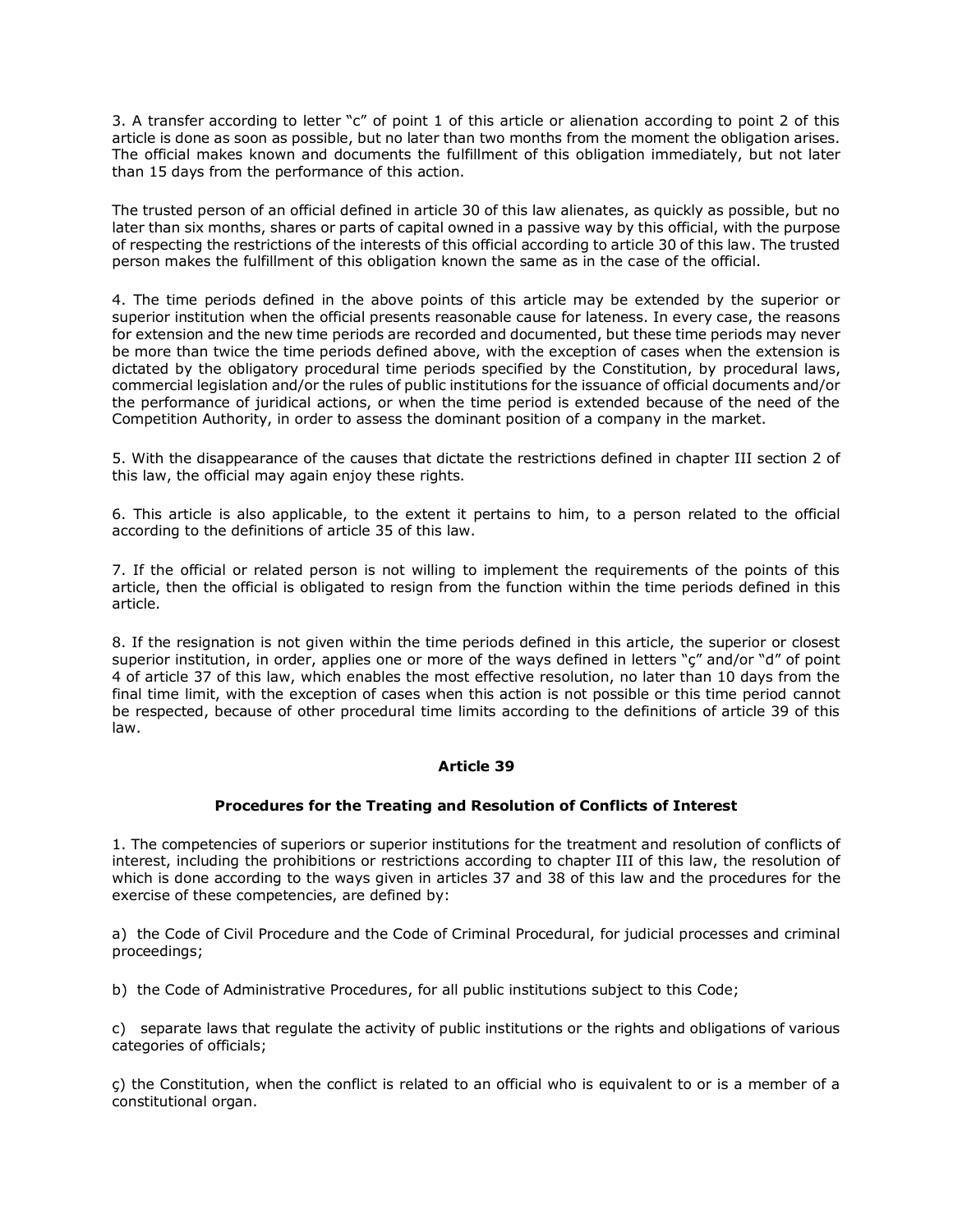3. A transfer according to letter "c" of point 1 of this article or alienation according to point 2 of this article is done as soon as possible, but no later than two months from the moment the obligation arises. The official makes known and documents the fulfillment of this obligation immediately, but not later than 15 days from the performance of this action.

The trusted person of an official defined in article 30 of this law alienates, as quickly as possible, but no later than six months, shares or parts of capital owned in a passive way by this official, with the purpose of respecting the restrictions of the interests of this official according to article 30 of this law. The trusted person makes the fulfillment of this obligation known the same as in the case of the official.

4. The time periods defined in the above points of this article may be extended by the superior or superior institution when the official presents reasonable cause for lateness. In every case, the reasons for extension and the new time periods are recorded and documented, but these time periods may never be more than twice the time periods defined above, with the exception of cases when the extension is dictated by the obligatory procedural time periods specified by the Constitution, by procedural laws, commercial legislation and/or the rules of public institutions for the issuance of official documents and/or the performance of juridical actions, or when the time period is extended because of the need of the Competition Authority, in order to assess the dominant position of a company in the market.

5. With the disappearance of the causes that dictate the restrictions defined in chapter III section 2 of this law, the official may again enjoy these rights.

6. This article is also applicable, to the extent it pertains to him, to a person related to the official according to the definitions of article 35 of this law.

7. If the official or related person is not willing to implement the requirements of the points of this article, then the official is obligated to resign from the function within the time periods defined in this article.

8. If the resignation is not given within the time periods defined in this article, the superior or closest superior institution, in order, applies one or more of the ways defined in letters "ç" and/or "d" of point 4 of article 37 of this law, which enables the most effective resolution, no later than 10 days from the final time limit, with the exception of cases when this action is not possible or this time period cannot be respected, because of other procedural time limits according to the definitions of article 39 of this law.

# **Article 39**

# **Procedures for the Treating and Resolution of Conflicts of Interest**

1. The competencies of superiors or superior institutions for the treatment and resolution of conflicts of interest, including the prohibitions or restrictions according to chapter III of this law, the resolution of which is done according to the ways given in articles 37 and 38 of this law and the procedures for the exercise of these competencies, are defined by:

a) the Code of Civil Procedure and the Code of Criminal Procedural, for judicial processes and criminal proceedings;

b) the Code of Administrative Procedures, for all public institutions subject to this Code;

c) separate laws that regulate the activity of public institutions or the rights and obligations of various categories of officials;

ç) the Constitution, when the conflict is related to an official who is equivalent to or is a member of a constitutional organ.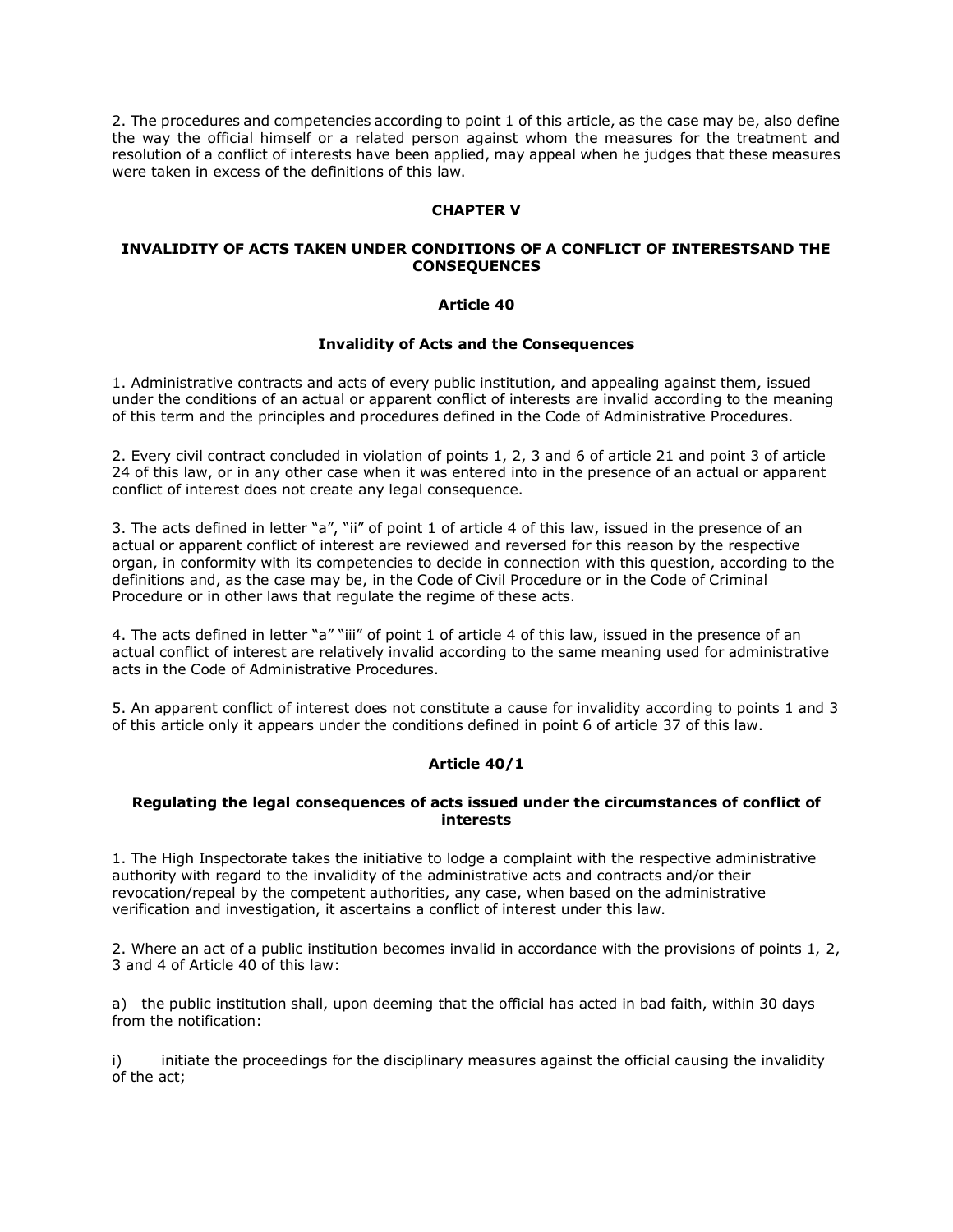2. The procedures and competencies according to point 1 of this article, as the case may be, also define the way the official himself or a related person against whom the measures for the treatment and resolution of a conflict of interests have been applied, may appeal when he judges that these measures were taken in excess of the definitions of this law.

# **CHAPTER V**

# **INVALIDITY OF ACTS TAKEN UNDER CONDITIONS OF A CONFLICT OF INTERESTSAND THE CONSEQUENCES**

### **Article 40**

### **Invalidity of Acts and the Consequences**

1. Administrative contracts and acts of every public institution, and appealing against them, issued under the conditions of an actual or apparent conflict of interests are invalid according to the meaning of this term and the principles and procedures defined in the Code of Administrative Procedures.

2. Every civil contract concluded in violation of points 1, 2, 3 and 6 of article 21 and point 3 of article 24 of this law, or in any other case when it was entered into in the presence of an actual or apparent conflict of interest does not create any legal consequence.

3. The acts defined in letter "a", "ii" of point 1 of article 4 of this law, issued in the presence of an actual or apparent conflict of interest are reviewed and reversed for this reason by the respective organ, in conformity with its competencies to decide in connection with this question, according to the definitions and, as the case may be, in the Code of Civil Procedure or in the Code of Criminal Procedure or in other laws that regulate the regime of these acts.

4. The acts defined in letter "a" "iii" of point 1 of article 4 of this law, issued in the presence of an actual conflict of interest are relatively invalid according to the same meaning used for administrative acts in the Code of Administrative Procedures.

5. An apparent conflict of interest does not constitute a cause for invalidity according to points 1 and 3 of this article only it appears under the conditions defined in point 6 of article 37 of this law.

# **Article 40/1**

### **Regulating the legal consequences of acts issued under the circumstances of conflict of interests**

1. The High Inspectorate takes the initiative to lodge a complaint with the respective administrative authority with regard to the invalidity of the administrative acts and contracts and/or their revocation/repeal by the competent authorities, any case, when based on the administrative verification and investigation, it ascertains a conflict of interest under this law.

2. Where an act of a public institution becomes invalid in accordance with the provisions of points 1, 2, 3 and 4 of Article 40 of this law:

a) the public institution shall, upon deeming that the official has acted in bad faith, within 30 days from the notification:

i) initiate the proceedings for the disciplinary measures against the official causing the invalidity of the act;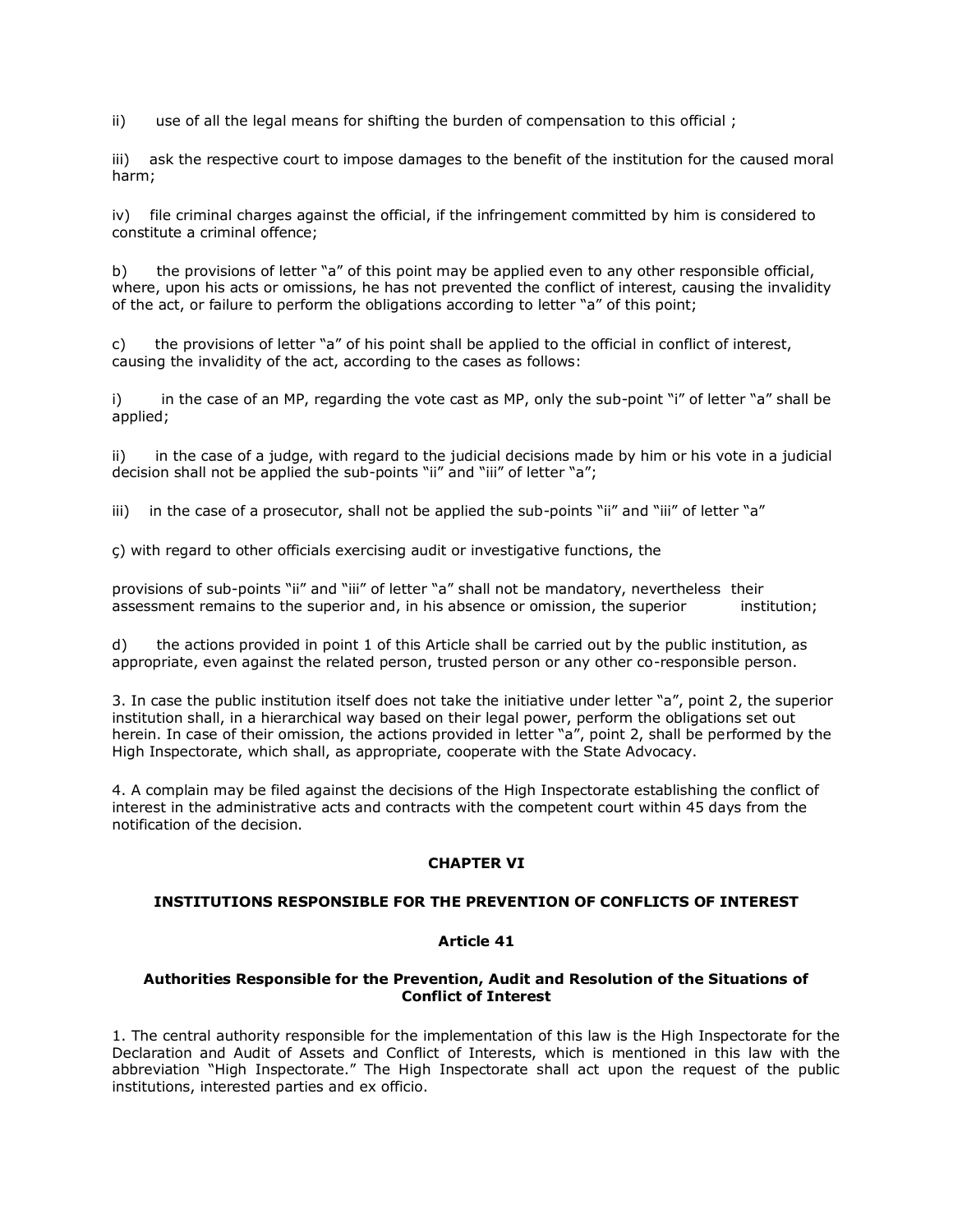ii) use of all the legal means for shifting the burden of compensation to this official ;

iii) ask the respective court to impose damages to the benefit of the institution for the caused moral harm;

iv) file criminal charges against the official, if the infringement committed by him is considered to constitute a criminal offence;

b) the provisions of letter "a" of this point may be applied even to any other responsible official, where, upon his acts or omissions, he has not prevented the conflict of interest, causing the invalidity of the act, or failure to perform the obligations according to letter "a" of this point;

c) the provisions of letter "a" of his point shall be applied to the official in conflict of interest, causing the invalidity of the act, according to the cases as follows:

i) in the case of an MP, regarding the vote cast as MP, only the sub-point "i" of letter "a" shall be applied;

ii) in the case of a judge, with regard to the judicial decisions made by him or his vote in a judicial decision shall not be applied the sub-points "ii" and "iii" of letter "a";

iii) in the case of a prosecutor, shall not be applied the sub-points "ii" and "iii" of letter "a"

ç) with regard to other officials exercising audit or investigative functions, the

provisions of sub-points "ii" and "iii" of letter "a" shall not be mandatory, nevertheless their assessment remains to the superior and, in his absence or omission, the superior institution;

d) the actions provided in point 1 of this Article shall be carried out by the public institution, as appropriate, even against the related person, trusted person or any other co-responsible person.

3. In case the public institution itself does not take the initiative under letter "a", point 2, the superior institution shall, in a hierarchical way based on their legal power, perform the obligations set out herein. In case of their omission, the actions provided in letter "a", point 2, shall be performed by the High Inspectorate, which shall, as appropriate, cooperate with the State Advocacy.

4. A complain may be filed against the decisions of the High Inspectorate establishing the conflict of interest in the administrative acts and contracts with the competent court within 45 days from the notification of the decision.

# **CHAPTER VI**

# **INSTITUTIONS RESPONSIBLE FOR THE PREVENTION OF CONFLICTS OF INTEREST**

# **Article 41**

### **Authorities Responsible for the Prevention, Audit and Resolution of the Situations of Conflict of Interest**

1. The central authority responsible for the implementation of this law is the High Inspectorate for the Declaration and Audit of Assets and Conflict of Interests, which is mentioned in this law with the abbreviation "High Inspectorate." The High Inspectorate shall act upon the request of the public institutions, interested parties and ex officio.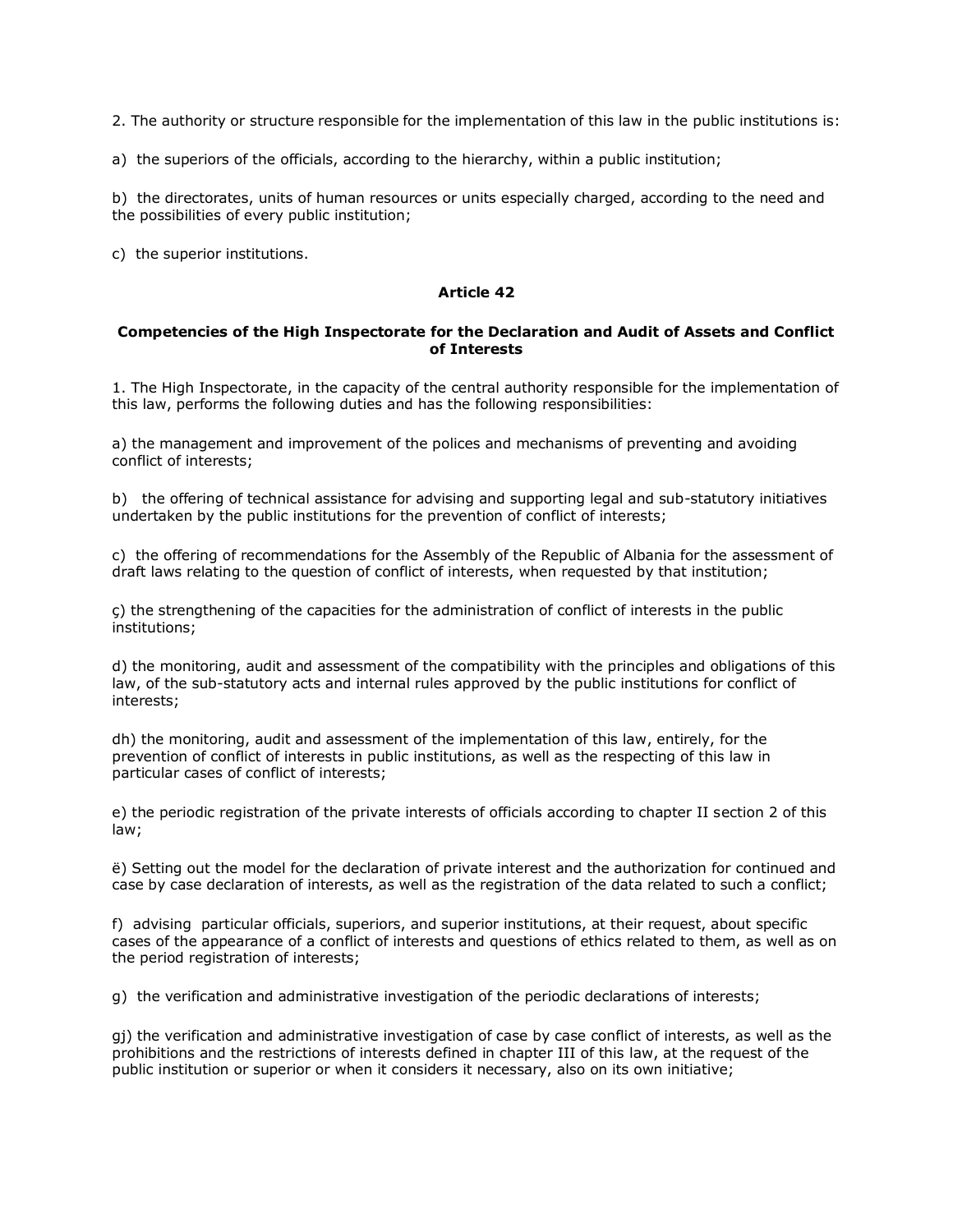2. The authority or structure responsible for the implementation of this law in the public institutions is:

a) the superiors of the officials, according to the hierarchy, within a public institution;

b) the directorates, units of human resources or units especially charged, according to the need and the possibilities of every public institution;

c) the superior institutions.

### **Article 42**

### **Competencies of the High Inspectorate for the Declaration and Audit of Assets and Conflict of Interests**

1. The High Inspectorate, in the capacity of the central authority responsible for the implementation of this law, performs the following duties and has the following responsibilities:

a) the management and improvement of the polices and mechanisms of preventing and avoiding conflict of interests;

b) the offering of technical assistance for advising and supporting legal and sub-statutory initiatives undertaken by the public institutions for the prevention of conflict of interests;

c) the offering of recommendations for the Assembly of the Republic of Albania for the assessment of draft laws relating to the question of conflict of interests, when requested by that institution;

ç) the strengthening of the capacities for the administration of conflict of interests in the public institutions;

d) the monitoring, audit and assessment of the compatibility with the principles and obligations of this law, of the sub-statutory acts and internal rules approved by the public institutions for conflict of interests;

dh) the monitoring, audit and assessment of the implementation of this law, entirely, for the prevention of conflict of interests in public institutions, as well as the respecting of this law in particular cases of conflict of interests;

e) the periodic registration of the private interests of officials according to chapter II section 2 of this law;

ë) Setting out the model for the declaration of private interest and the authorization for continued and case by case declaration of interests, as well as the registration of the data related to such a conflict;

f) advising particular officials, superiors, and superior institutions, at their request, about specific cases of the appearance of a conflict of interests and questions of ethics related to them, as well as on the period registration of interests;

g) the verification and administrative investigation of the periodic declarations of interests;

gj) the verification and administrative investigation of case by case conflict of interests, as well as the prohibitions and the restrictions of interests defined in chapter III of this law, at the request of the public institution or superior or when it considers it necessary, also on its own initiative;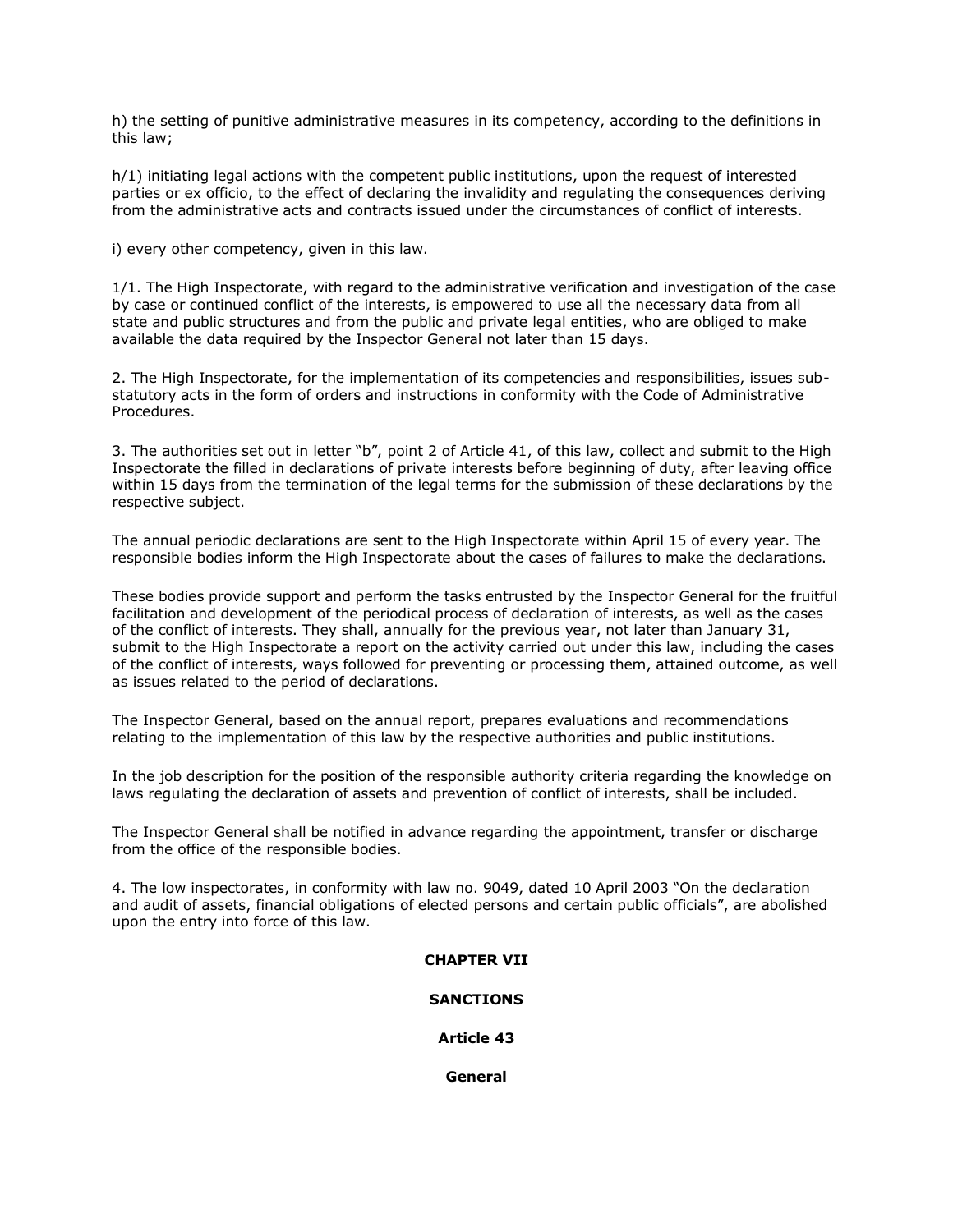h) the setting of punitive administrative measures in its competency, according to the definitions in this law;

h/1) initiating legal actions with the competent public institutions, upon the request of interested parties or ex officio, to the effect of declaring the invalidity and regulating the consequences deriving from the administrative acts and contracts issued under the circumstances of conflict of interests.

i) every other competency, given in this law.

1/1. The High Inspectorate, with regard to the administrative verification and investigation of the case by case or continued conflict of the interests, is empowered to use all the necessary data from all state and public structures and from the public and private legal entities, who are obliged to make available the data required by the Inspector General not later than 15 days.

2. The High Inspectorate, for the implementation of its competencies and responsibilities, issues substatutory acts in the form of orders and instructions in conformity with the Code of Administrative Procedures.

3. The authorities set out in letter "b", point 2 of Article 41, of this law, collect and submit to the High Inspectorate the filled in declarations of private interests before beginning of duty, after leaving office within 15 days from the termination of the legal terms for the submission of these declarations by the respective subject.

The annual periodic declarations are sent to the High Inspectorate within April 15 of every year. The responsible bodies inform the High Inspectorate about the cases of failures to make the declarations.

These bodies provide support and perform the tasks entrusted by the Inspector General for the fruitful facilitation and development of the periodical process of declaration of interests, as well as the cases of the conflict of interests. They shall, annually for the previous year, not later than January 31, submit to the High Inspectorate a report on the activity carried out under this law, including the cases of the conflict of interests, ways followed for preventing or processing them, attained outcome, as well as issues related to the period of declarations.

The Inspector General, based on the annual report, prepares evaluations and recommendations relating to the implementation of this law by the respective authorities and public institutions.

In the job description for the position of the responsible authority criteria regarding the knowledge on laws regulating the declaration of assets and prevention of conflict of interests, shall be included.

The Inspector General shall be notified in advance regarding the appointment, transfer or discharge from the office of the responsible bodies.

4. The low inspectorates, in conformity with law no. 9049, dated 10 April 2003 "On the declaration and audit of assets, financial obligations of elected persons and certain public officials", are abolished upon the entry into force of this law.

# **CHAPTER VII**

#### **SANCTIONS**

#### **Article 43**

**General**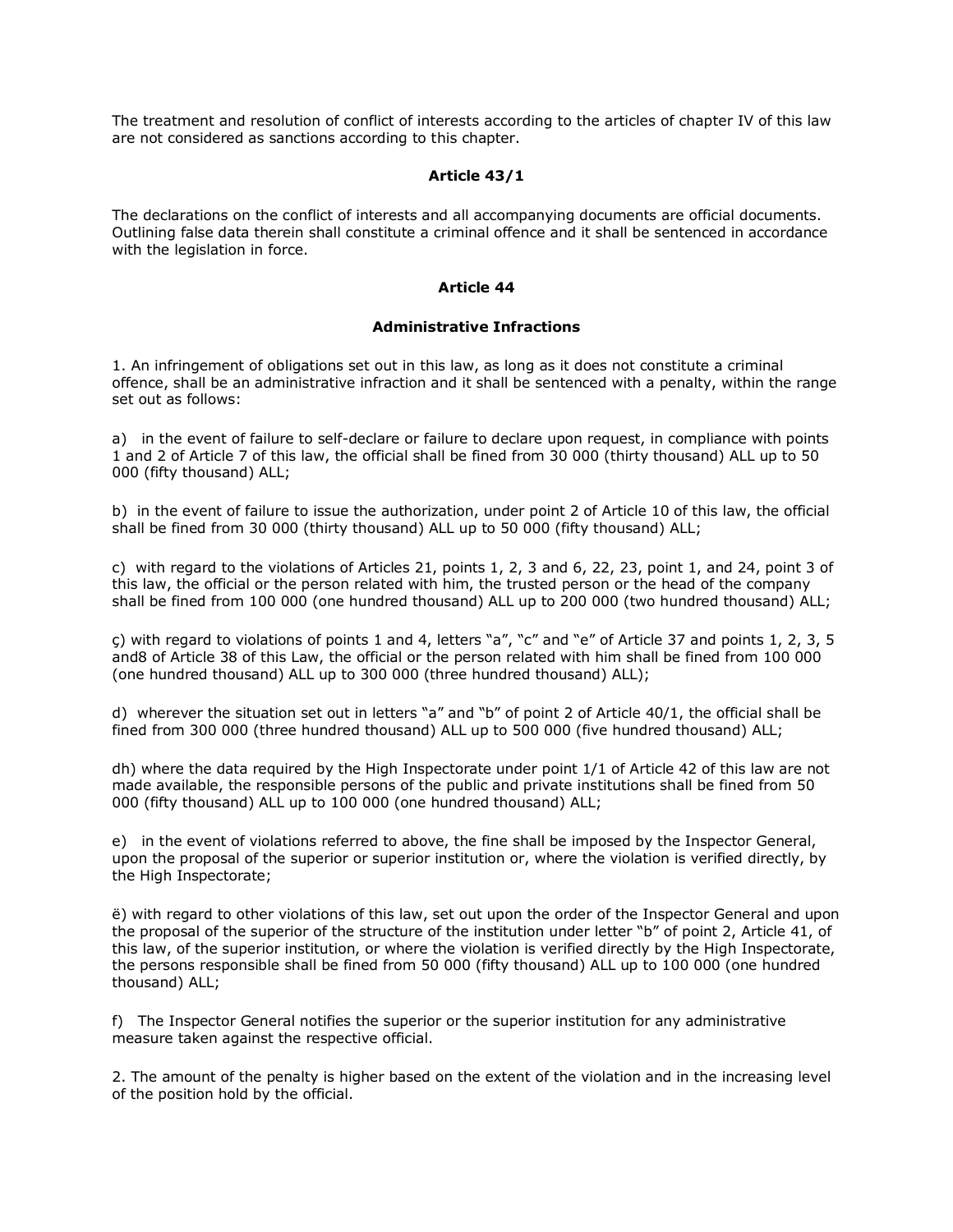The treatment and resolution of conflict of interests according to the articles of chapter IV of this law are not considered as sanctions according to this chapter.

### **Article 43/1**

The declarations on the conflict of interests and all accompanying documents are official documents. Outlining false data therein shall constitute a criminal offence and it shall be sentenced in accordance with the legislation in force.

#### **Article 44**

### **Administrative Infractions**

1. An infringement of obligations set out in this law, as long as it does not constitute a criminal offence, shall be an administrative infraction and it shall be sentenced with a penalty, within the range set out as follows:

a) in the event of failure to self-declare or failure to declare upon request, in compliance with points 1 and 2 of Article 7 of this law, the official shall be fined from 30 000 (thirty thousand) ALL up to 50 000 (fifty thousand) ALL;

b) in the event of failure to issue the authorization, under point 2 of Article 10 of this law, the official shall be fined from 30 000 (thirty thousand) ALL up to 50 000 (fifty thousand) ALL;

c) with regard to the violations of Articles 21, points 1, 2, 3 and 6, 22, 23, point 1, and 24, point 3 of this law, the official or the person related with him, the trusted person or the head of the company shall be fined from 100 000 (one hundred thousand) ALL up to 200 000 (two hundred thousand) ALL;

ç) with regard to violations of points 1 and 4, letters "a", "c" and "e" of Article 37 and points 1, 2, 3, 5 and8 of Article 38 of this Law, the official or the person related with him shall be fined from 100 000 (one hundred thousand) ALL up to 300 000 (three hundred thousand) ALL);

d) wherever the situation set out in letters "a" and "b" of point 2 of Article 40/1, the official shall be fined from 300 000 (three hundred thousand) ALL up to 500 000 (five hundred thousand) ALL;

dh) where the data required by the High Inspectorate under point 1/1 of Article 42 of this law are not made available, the responsible persons of the public and private institutions shall be fined from 50 000 (fifty thousand) ALL up to 100 000 (one hundred thousand) ALL;

e) in the event of violations referred to above, the fine shall be imposed by the Inspector General, upon the proposal of the superior or superior institution or, where the violation is verified directly, by the High Inspectorate;

ë) with regard to other violations of this law, set out upon the order of the Inspector General and upon the proposal of the superior of the structure of the institution under letter "b" of point 2, Article 41, of this law, of the superior institution, or where the violation is verified directly by the High Inspectorate, the persons responsible shall be fined from 50 000 (fifty thousand) ALL up to 100 000 (one hundred thousand) ALL;

f) The Inspector General notifies the superior or the superior institution for any administrative measure taken against the respective official.

2. The amount of the penalty is higher based on the extent of the violation and in the increasing level of the position hold by the official.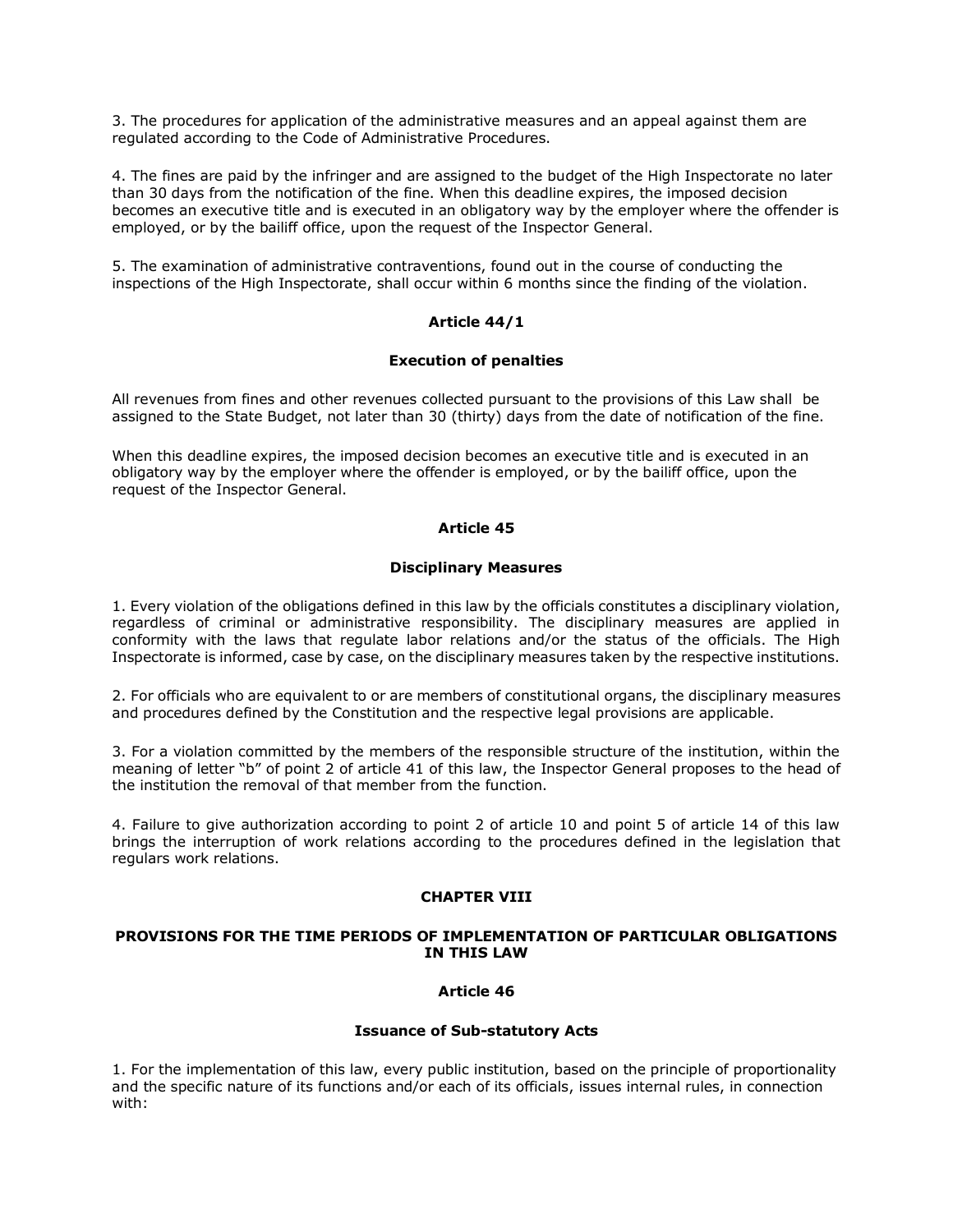3. The procedures for application of the administrative measures and an appeal against them are regulated according to the Code of Administrative Procedures.

4. The fines are paid by the infringer and are assigned to the budget of the High Inspectorate no later than 30 days from the notification of the fine. When this deadline expires, the imposed decision becomes an executive title and is executed in an obligatory way by the employer where the offender is employed, or by the bailiff office, upon the request of the Inspector General.

5. The examination of administrative contraventions, found out in the course of conducting the inspections of the High Inspectorate, shall occur within 6 months since the finding of the violation.

# **Article 44/1**

#### **Execution of penalties**

All revenues from fines and other revenues collected pursuant to the provisions of this Law shall be assigned to the State Budget, not later than 30 (thirty) days from the date of notification of the fine.

When this deadline expires, the imposed decision becomes an executive title and is executed in an obligatory way by the employer where the offender is employed, or by the bailiff office, upon the request of the Inspector General.

### **Article 45**

#### **Disciplinary Measures**

1. Every violation of the obligations defined in this law by the officials constitutes a disciplinary violation, regardless of criminal or administrative responsibility. The disciplinary measures are applied in conformity with the laws that regulate labor relations and/or the status of the officials. The High Inspectorate is informed, case by case, on the disciplinary measures taken by the respective institutions.

2. For officials who are equivalent to or are members of constitutional organs, the disciplinary measures and procedures defined by the Constitution and the respective legal provisions are applicable.

3. For a violation committed by the members of the responsible structure of the institution, within the meaning of letter "b" of point 2 of article 41 of this law, the Inspector General proposes to the head of the institution the removal of that member from the function.

4. Failure to give authorization according to point 2 of article 10 and point 5 of article 14 of this law brings the interruption of work relations according to the procedures defined in the legislation that regulars work relations.

### **CHAPTER VIII**

#### **PROVISIONS FOR THE TIME PERIODS OF IMPLEMENTATION OF PARTICULAR OBLIGATIONS IN THIS LAW**

# **Article 46**

#### **Issuance of Sub-statutory Acts**

1. For the implementation of this law, every public institution, based on the principle of proportionality and the specific nature of its functions and/or each of its officials, issues internal rules, in connection with: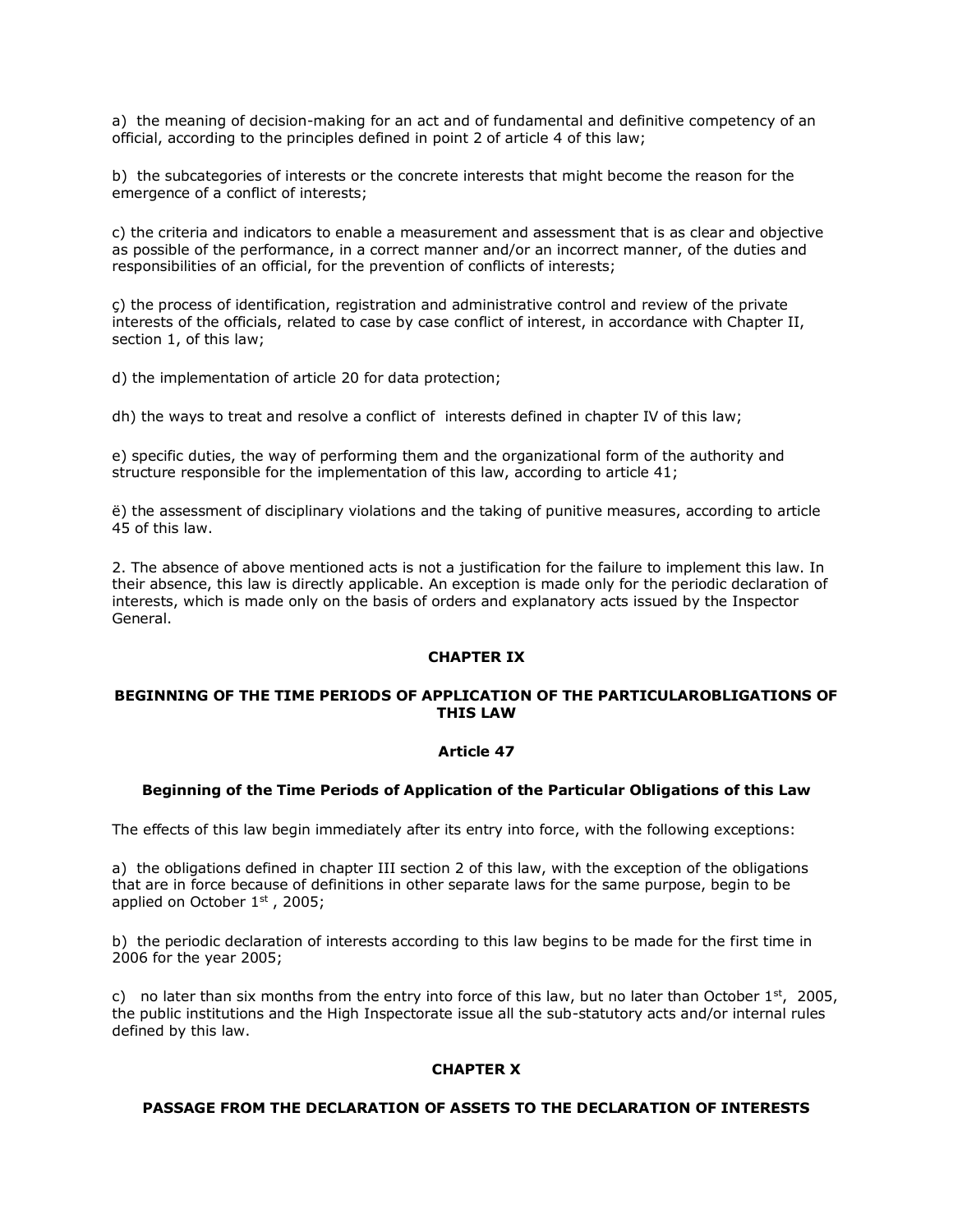a) the meaning of decision-making for an act and of fundamental and definitive competency of an official, according to the principles defined in point 2 of article 4 of this law;

b) the subcategories of interests or the concrete interests that might become the reason for the emergence of a conflict of interests;

c) the criteria and indicators to enable a measurement and assessment that is as clear and objective as possible of the performance, in a correct manner and/or an incorrect manner, of the duties and responsibilities of an official, for the prevention of conflicts of interests;

ç) the process of identification, registration and administrative control and review of the private interests of the officials, related to case by case conflict of interest, in accordance with Chapter II, section 1, of this law;

d) the implementation of article 20 for data protection;

dh) the ways to treat and resolve a conflict of interests defined in chapter IV of this law;

e) specific duties, the way of performing them and the organizational form of the authority and structure responsible for the implementation of this law, according to article 41;

ë) the assessment of disciplinary violations and the taking of punitive measures, according to article 45 of this law.

2. The absence of above mentioned acts is not a justification for the failure to implement this law. In their absence, this law is directly applicable. An exception is made only for the periodic declaration of interests, which is made only on the basis of orders and explanatory acts issued by the Inspector General.

#### **CHAPTER IX**

### **BEGINNING OF THE TIME PERIODS OF APPLICATION OF THE PARTICULAROBLIGATIONS OF THIS LAW**

#### **Article 47**

#### **Beginning of the Time Periods of Application of the Particular Obligations of this Law**

The effects of this law begin immediately after its entry into force, with the following exceptions:

a) the obligations defined in chapter III section 2 of this law, with the exception of the obligations that are in force because of definitions in other separate laws for the same purpose, begin to be applied on October  $1<sup>st</sup>$ , 2005;

b) the periodic declaration of interests according to this law begins to be made for the first time in 2006 for the year 2005;

c) no later than six months from the entry into force of this law, but no later than October  $1^{st}$ , 2005, the public institutions and the High Inspectorate issue all the sub-statutory acts and/or internal rules defined by this law.

# **CHAPTER X**

#### **PASSAGE FROM THE DECLARATION OF ASSETS TO THE DECLARATION OF INTERESTS**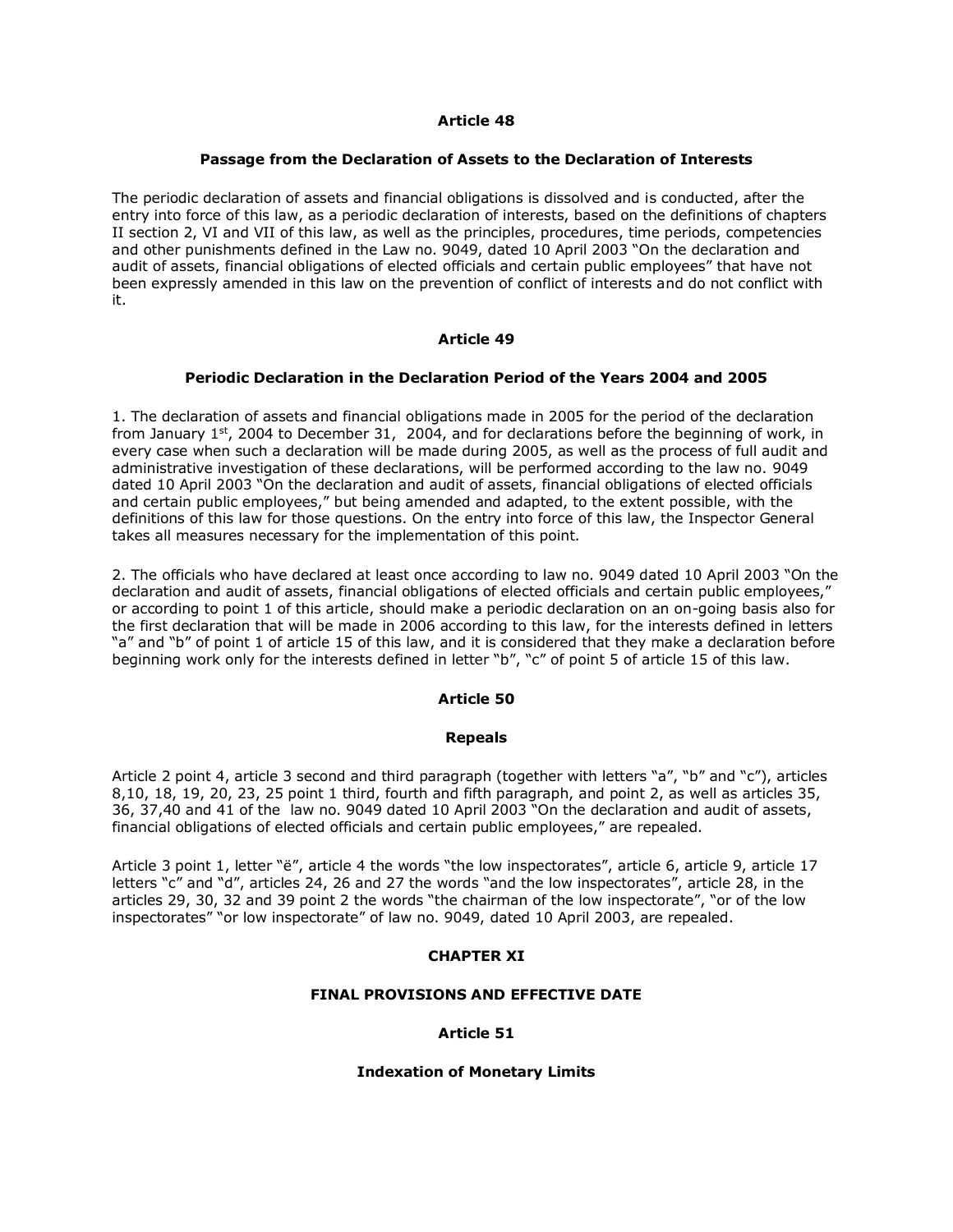### **Article 48**

#### **Passage from the Declaration of Assets to the Declaration of Interests**

The periodic declaration of assets and financial obligations is dissolved and is conducted, after the entry into force of this law, as a periodic declaration of interests, based on the definitions of chapters II section 2, VI and VII of this law, as well as the principles, procedures, time periods, competencies and other punishments defined in the Law no. 9049, dated 10 April 2003 "On the declaration and audit of assets, financial obligations of elected officials and certain public employees" that have not been expressly amended in this law on the prevention of conflict of interests and do not conflict with it.

### **Article 49**

### **Periodic Declaration in the Declaration Period of the Years 2004 and 2005**

1. The declaration of assets and financial obligations made in 2005 for the period of the declaration from January  $1^{st}$ , 2004 to December 31, 2004, and for declarations before the beginning of work, in every case when such a declaration will be made during 2005, as well as the process of full audit and administrative investigation of these declarations, will be performed according to the law no. 9049 dated 10 April 2003 "On the declaration and audit of assets, financial obligations of elected officials and certain public employees," but being amended and adapted, to the extent possible, with the definitions of this law for those questions. On the entry into force of this law, the Inspector General takes all measures necessary for the implementation of this point.

2. The officials who have declared at least once according to law no. 9049 dated 10 April 2003 "On the declaration and audit of assets, financial obligations of elected officials and certain public employees," or according to point 1 of this article, should make a periodic declaration on an on-going basis also for the first declaration that will be made in 2006 according to this law, for the interests defined in letters "a" and "b" of point 1 of article 15 of this law, and it is considered that they make a declaration before beginning work only for the interests defined in letter "b", "c" of point 5 of article 15 of this law.

# **Article 50**

#### **Repeals**

Article 2 point 4, article 3 second and third paragraph (together with letters "a", "b" and "c"), articles 8,10, 18, 19, 20, 23, 25 point 1 third, fourth and fifth paragraph, and point 2, as well as articles 35, 36, 37,40 and 41 of the law no. 9049 dated 10 April 2003 "On the declaration and audit of assets, financial obligations of elected officials and certain public employees," are repealed.

Article 3 point 1, letter "ë", article 4 the words "the low inspectorates", article 6, article 9, article 17 letters "c" and "d", articles 24, 26 and 27 the words "and the low inspectorates", article 28, in the articles 29, 30, 32 and 39 point 2 the words "the chairman of the low inspectorate", "or of the low inspectorates" "or low inspectorate" of law no. 9049, dated 10 April 2003, are repealed.

# **CHAPTER XI**

#### **FINAL PROVISIONS AND EFFECTIVE DATE**

#### **Article 51**

#### **Indexation of Monetary Limits**